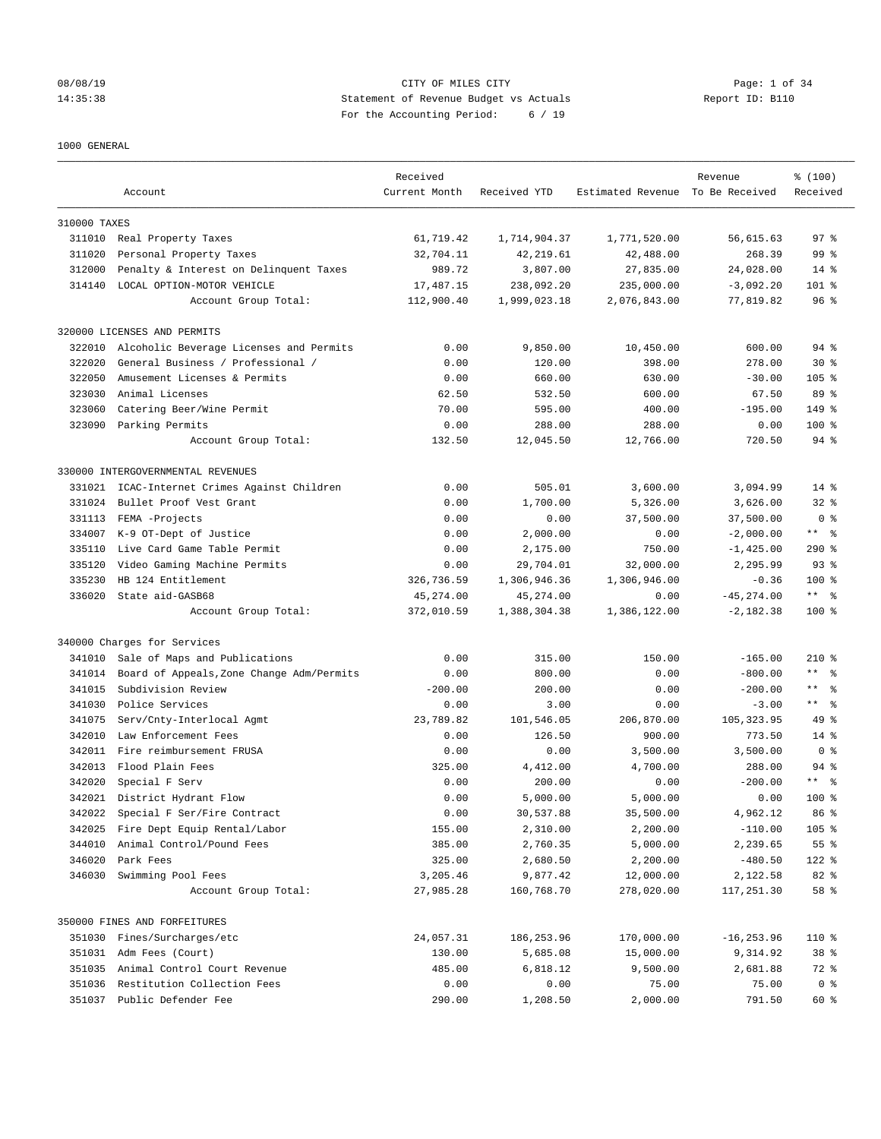#### 08/08/19 Page: 1 of 34 14:35:38 Statement of Revenue Budget vs Actuals Report ID: B110 For the Accounting Period: 6 / 19

#### 1000 GENERAL

|              |                                           | Received      |              | Estimated Revenue To Be Received | Revenue       | % (100)                   |
|--------------|-------------------------------------------|---------------|--------------|----------------------------------|---------------|---------------------------|
|              | Account                                   | Current Month | Received YTD |                                  |               | Received                  |
| 310000 TAXES |                                           |               |              |                                  |               |                           |
|              | 311010 Real Property Taxes                | 61,719.42     | 1,714,904.37 | 1,771,520.00                     | 56,615.63     | 97 <sup>8</sup>           |
| 311020       | Personal Property Taxes                   | 32,704.11     | 42, 219.61   | 42,488.00                        | 268.39        | 99 %                      |
| 312000       | Penalty & Interest on Delinquent Taxes    | 989.72        | 3,807.00     | 27,835.00                        | 24,028.00     | $14*$                     |
| 314140       | LOCAL OPTION-MOTOR VEHICLE                | 17,487.15     | 238,092.20   | 235,000.00                       | $-3,092.20$   | $101$ %                   |
|              | Account Group Total:                      | 112,900.40    | 1,999,023.18 | 2,076,843.00                     | 77,819.82     | 96 <sup>°</sup>           |
|              | 320000 LICENSES AND PERMITS               |               |              |                                  |               |                           |
| 322010       | Alcoholic Beverage Licenses and Permits   | 0.00          | 9,850.00     | 10,450.00                        | 600.00        | $94$ %                    |
| 322020       | General Business / Professional /         | 0.00          | 120.00       | 398.00                           | 278.00        | $30*$                     |
| 322050       | Amusement Licenses & Permits              | 0.00          | 660.00       | 630.00                           | $-30.00$      | $105$ %                   |
| 323030       | Animal Licenses                           | 62.50         | 532.50       | 600.00                           | 67.50         | 89 %                      |
| 323060       | Catering Beer/Wine Permit                 | 70.00         | 595.00       | 400.00                           | $-195.00$     | 149 %                     |
| 323090       | Parking Permits                           | 0.00          | 288.00       | 288.00                           | 0.00          | $100$ %                   |
|              | Account Group Total:                      | 132.50        | 12,045.50    | 12,766.00                        | 720.50        | $94$ %                    |
|              | 330000 INTERGOVERNMENTAL REVENUES         |               |              |                                  |               |                           |
| 331021       | ICAC-Internet Crimes Against Children     | 0.00          | 505.01       | 3,600.00                         | 3,094.99      | $14*$                     |
| 331024       | Bullet Proof Vest Grant                   | 0.00          | 1,700.00     | 5,326.00                         | 3,626.00      | $32*$                     |
| 331113       | FEMA -Projects                            | 0.00          | 0.00         | 37,500.00                        | 37,500.00     | 0 <sup>8</sup>            |
| 334007       | K-9 OT-Dept of Justice                    | 0.00          | 2,000.00     | 0.00                             | $-2,000.00$   | $***$ $ -$                |
| 335110       | Live Card Game Table Permit               | 0.00          | 2,175.00     | 750.00                           | $-1,425.00$   | $290*$                    |
| 335120       | Video Gaming Machine Permits              | 0.00          | 29,704.01    | 32,000.00                        | 2,295.99      | $93$ $%$                  |
| 335230       | HB 124 Entitlement                        | 326,736.59    | 1,306,946.36 | 1,306,946.00                     | $-0.36$       | $100$ %                   |
| 336020       | State aid-GASB68                          | 45,274.00     | 45,274.00    | 0.00                             | $-45, 274.00$ | ** 왕                      |
|              | Account Group Total:                      | 372,010.59    | 1,388,304.38 | 1,386,122.00                     | $-2,182.38$   | $100$ %                   |
|              | 340000 Charges for Services               |               |              |                                  |               |                           |
| 341010       | Sale of Maps and Publications             | 0.00          | 315.00       | 150.00                           | $-165.00$     | $210*$                    |
| 341014       | Board of Appeals, Zone Change Adm/Permits | 0.00          | 800.00       | 0.00                             | $-800.00$     | ** 왕                      |
| 341015       | Subdivision Review                        | $-200.00$     | 200.00       | 0.00                             | $-200.00$     | $\star\star$<br>$\approx$ |
| 341030       | Police Services                           | 0.00          | 3.00         | 0.00                             | $-3.00$       | $***$ $ -$                |
| 341075       | Serv/Cnty-Interlocal Agmt                 | 23,789.82     | 101,546.05   | 206,870.00                       | 105, 323.95   | 49 %                      |
| 342010       | Law Enforcement Fees                      | 0.00          | 126.50       | 900.00                           | 773.50        | $14*$                     |
|              | 342011 Fire reimbursement FRUSA           | 0.00          | 0.00         | 3,500.00                         | 3,500.00      | 0 <sup>8</sup>            |
| 342013       | Flood Plain Fees                          | 325.00        | 4,412.00     | 4,700.00                         | 288.00        | $94$ %                    |
| 342020       | Special F Serv                            | 0.00          | 200.00       | 0.00                             | $-200.00$     | $***$ $=$ $\frac{6}{5}$   |
| 342021       | District Hydrant Flow                     | 0.00          | 5,000.00     | 5,000.00                         | 0.00          | $100*$                    |
| 342022       | Special F Ser/Fire Contract               | 0.00          | 30,537.88    | 35,500.00                        | 4,962.12      | 86 %                      |
| 342025       | Fire Dept Equip Rental/Labor              | 155.00        | 2,310.00     | 2,200.00                         | $-110.00$     | 105 %                     |
| 344010       | Animal Control/Pound Fees                 | 385.00        | 2,760.35     | 5,000.00                         | 2,239.65      | $55$ $\frac{6}{5}$        |
| 346020       | Park Fees                                 | 325.00        | 2,680.50     | 2,200.00                         | $-480.50$     | 122 %                     |
| 346030       | Swimming Pool Fees                        | 3,205.46      | 9,877.42     | 12,000.00                        | 2,122.58      | 82 %                      |
|              | Account Group Total:                      | 27,985.28     | 160,768.70   | 278,020.00                       | 117,251.30    | 58 %                      |
|              | 350000 FINES AND FORFEITURES              |               |              |                                  |               |                           |
| 351030       | Fines/Surcharges/etc                      | 24,057.31     | 186,253.96   | 170,000.00                       | $-16, 253.96$ | 110 %                     |
| 351031       | Adm Fees (Court)                          | 130.00        | 5,685.08     | 15,000.00                        | 9,314.92      | 38 %                      |
| 351035       | Animal Control Court Revenue              | 485.00        | 6,818.12     | 9,500.00                         | 2,681.88      | 72 %                      |
| 351036       | Restitution Collection Fees               | 0.00          | 0.00         | 75.00                            | 75.00         | 0 <sup>8</sup>            |
| 351037       | Public Defender Fee                       | 290.00        | 1,208.50     | 2,000.00                         | 791.50        | 60 %                      |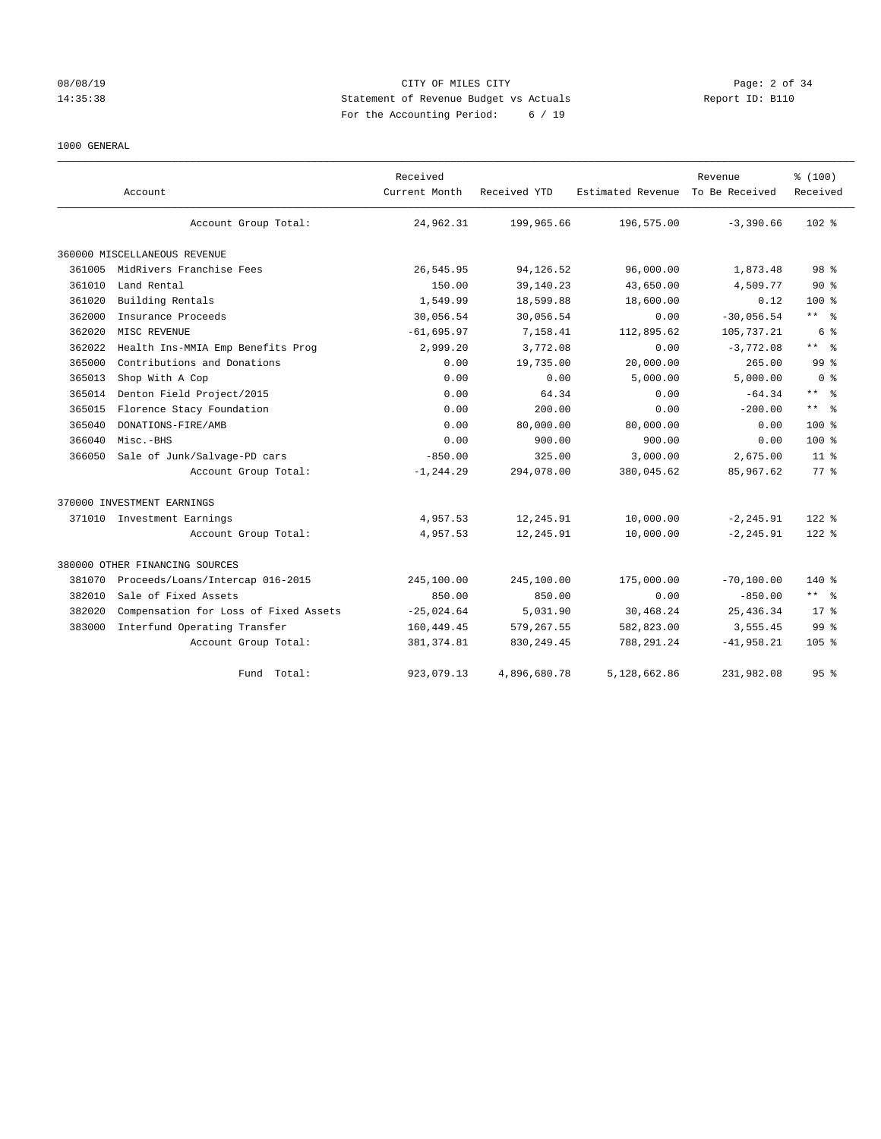#### 08/08/19 Page: 2 of 34 14:35:38 Statement of Revenue Budget vs Actuals Report ID: B110 For the Accounting Period: 6 / 19

#### 1000 GENERAL

|        |                                       | Received      |              |                                  | Revenue       | % (100)                 |
|--------|---------------------------------------|---------------|--------------|----------------------------------|---------------|-------------------------|
|        | Account                               | Current Month | Received YTD | Estimated Revenue To Be Received |               | Received                |
|        | Account Group Total:                  | 24,962.31     | 199,965.66   | 196,575.00                       | $-3,390.66$   | $102$ %                 |
|        | 360000 MISCELLANEOUS REVENUE          |               |              |                                  |               |                         |
| 361005 | MidRivers Franchise Fees              | 26,545.95     | 94,126.52    | 96,000.00                        | 1,873.48      | 98 <sup>8</sup>         |
| 361010 | Land Rental                           | 150.00        | 39,140.23    | 43,650.00                        | 4,509.77      | $90*$                   |
| 361020 | Building Rentals                      | 1,549.99      | 18,599.88    | 18,600.00                        | 0.12          | $100*$                  |
| 362000 | Insurance Proceeds                    | 30,056.54     | 30,056.54    | 0.00                             | $-30,056.54$  | ** 왕                    |
| 362020 | MISC REVENUE                          | $-61,695.97$  | 7,158.41     | 112,895.62                       | 105,737.21    | 6 %                     |
| 362022 | Health Ins-MMIA Emp Benefits Prog     | 2,999.20      | 3,772.08     | 0.00                             | $-3.772.08$   | $***$ $=$ $\frac{6}{5}$ |
| 365000 | Contributions and Donations           | 0.00          | 19,735.00    | 20,000.00                        | 265.00        | 99 <sup>8</sup>         |
| 365013 | Shop With A Cop                       | 0.00          | 0.00         | 5,000.00                         | 5,000.00      | 0 <sup>8</sup>          |
| 365014 | Denton Field Project/2015             | 0.00          | 64.34        | 0.00                             | $-64.34$      | $***$ $=$ $\frac{6}{5}$ |
| 365015 | Florence Stacy Foundation             | 0.00          | 200.00       | 0.00                             | $-200.00$     | $***$ $%$               |
| 365040 | DONATIONS-FIRE/AMB                    | 0.00          | 80,000.00    | 80,000.00                        | 0.00          | $100*$                  |
| 366040 | Misc.-BHS                             | 0.00          | 900.00       | 900.00                           | 0.00          | $100*$                  |
| 366050 | Sale of Junk/Salvage-PD cars          | $-850.00$     | 325.00       | 3,000.00                         | 2,675.00      | 11 <sup>8</sup>         |
|        | Account Group Total:                  | $-1, 244.29$  | 294,078.00   | 380,045.62                       | 85,967.62     | 77.8                    |
|        | 370000 INVESTMENT EARNINGS            |               |              |                                  |               |                         |
| 371010 | Investment Earnings                   | 4,957.53      | 12,245.91    | 10,000.00                        | $-2, 245.91$  | $122$ $%$               |
|        | Account Group Total:                  | 4,957.53      | 12,245.91    | 10,000.00                        | $-2, 245.91$  | 122 %                   |
|        | 380000 OTHER FINANCING SOURCES        |               |              |                                  |               |                         |
| 381070 | Proceeds/Loans/Intercap 016-2015      | 245,100.00    | 245,100.00   | 175,000.00                       | $-70, 100.00$ | $140*$                  |
| 382010 | Sale of Fixed Assets                  | 850.00        | 850.00       | 0.00                             | $-850.00$     | ** *                    |
| 382020 | Compensation for Loss of Fixed Assets | $-25,024.64$  | 5,031.90     | 30,468.24                        | 25, 436.34    | $17*$                   |
| 383000 | Interfund Operating Transfer          | 160, 449.45   | 579, 267.55  | 582,823.00                       | 3,555.45      | 99 <sup>8</sup>         |
|        | Account Group Total:                  | 381, 374.81   | 830, 249.45  | 788,291.24                       | $-41,958.21$  | 105 <sub>8</sub>        |
|        | Fund Total:                           | 923,079.13    | 4,896,680.78 | 5,128,662.86                     | 231,982.08    | 95%                     |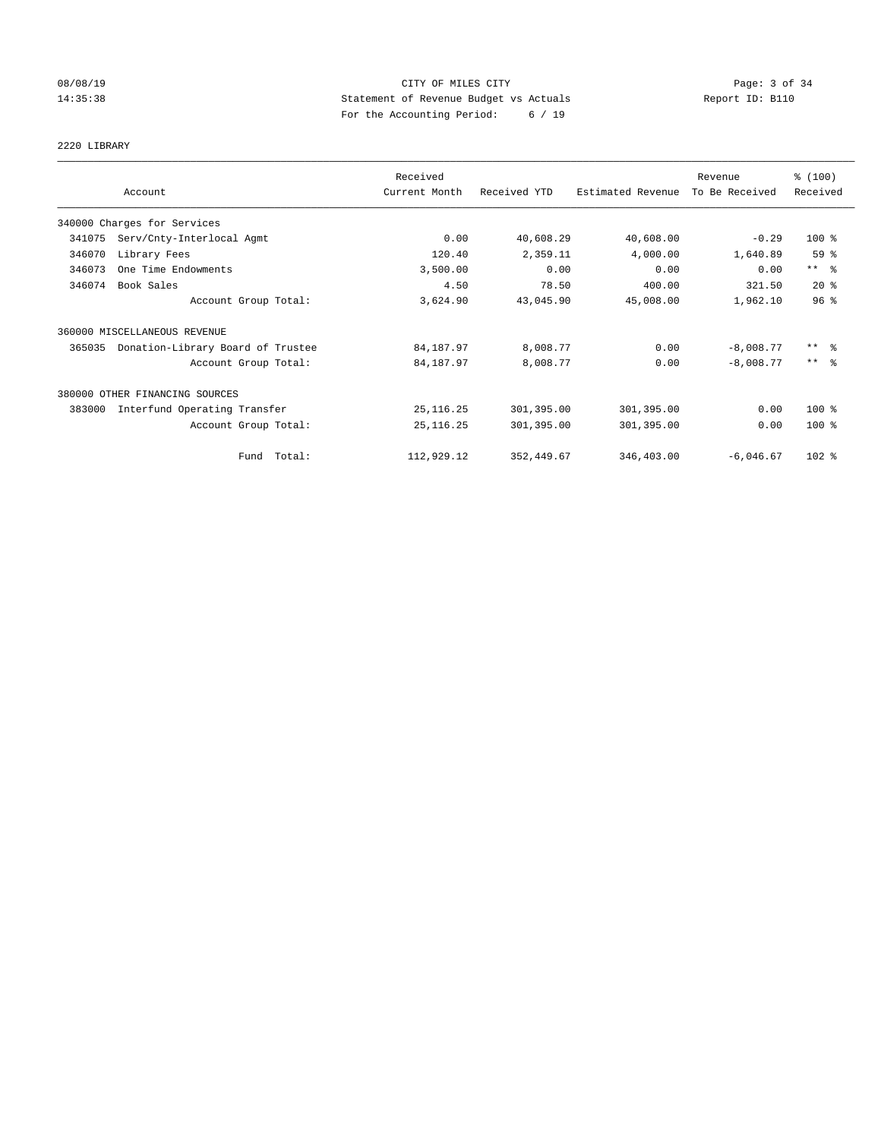# 08/08/19 CITY OF MILES CITY Page: 3 of 34 14:35:38 Statement of Revenue Budget vs Actuals Report ID: B110 For the Accounting Period: 6 / 19

#### 2220 LIBRARY

|        | Account                           | Received<br>Current Month | Received YTD | Estimated Revenue | Revenue<br>To Be Received | % (100)<br>Received     |
|--------|-----------------------------------|---------------------------|--------------|-------------------|---------------------------|-------------------------|
|        |                                   |                           |              |                   |                           |                         |
|        | 340000 Charges for Services       |                           |              |                   |                           |                         |
| 341075 | Serv/Cnty-Interlocal Agmt         | 0.00                      | 40,608.29    | 40,608.00         | $-0.29$                   | $100$ %                 |
| 346070 | Library Fees                      | 120.40                    | 2,359.11     | 4,000.00          | 1,640.89                  | 59 %                    |
| 346073 | One Time Endowments               | 3,500.00                  | 0.00         | 0.00              | 0.00                      | $***$ $ -$              |
| 346074 | Book Sales                        | 4.50                      | 78.50        | 400.00            | 321.50                    | $20*$                   |
|        | Account Group Total:              | 3,624.90                  | 43,045.90    | 45,008.00         | 1,962.10                  | 96 <sup>°</sup>         |
|        | 360000 MISCELLANEOUS REVENUE      |                           |              |                   |                           |                         |
| 365035 | Donation-Library Board of Trustee | 84, 187.97                | 8,008.77     | 0.00              | $-8,008.77$               | $***$ $=$ $\frac{6}{5}$ |
|        | Account Group Total:              | 84, 187. 97               | 8,008.77     | 0.00              | $-8,008.77$               | $***$ $\approx$         |
|        | 380000 OTHER FINANCING SOURCES    |                           |              |                   |                           |                         |
| 383000 | Interfund Operating Transfer      | 25, 116.25                | 301,395.00   | 301,395.00        | 0.00                      | $100*$                  |
|        | Account Group Total:              | 25, 116. 25               | 301,395.00   | 301,395.00        | 0.00                      | $100$ %                 |
|        | Fund Total:                       | 112,929.12                | 352, 449.67  | 346,403.00        | $-6.046.67$               | $102$ %                 |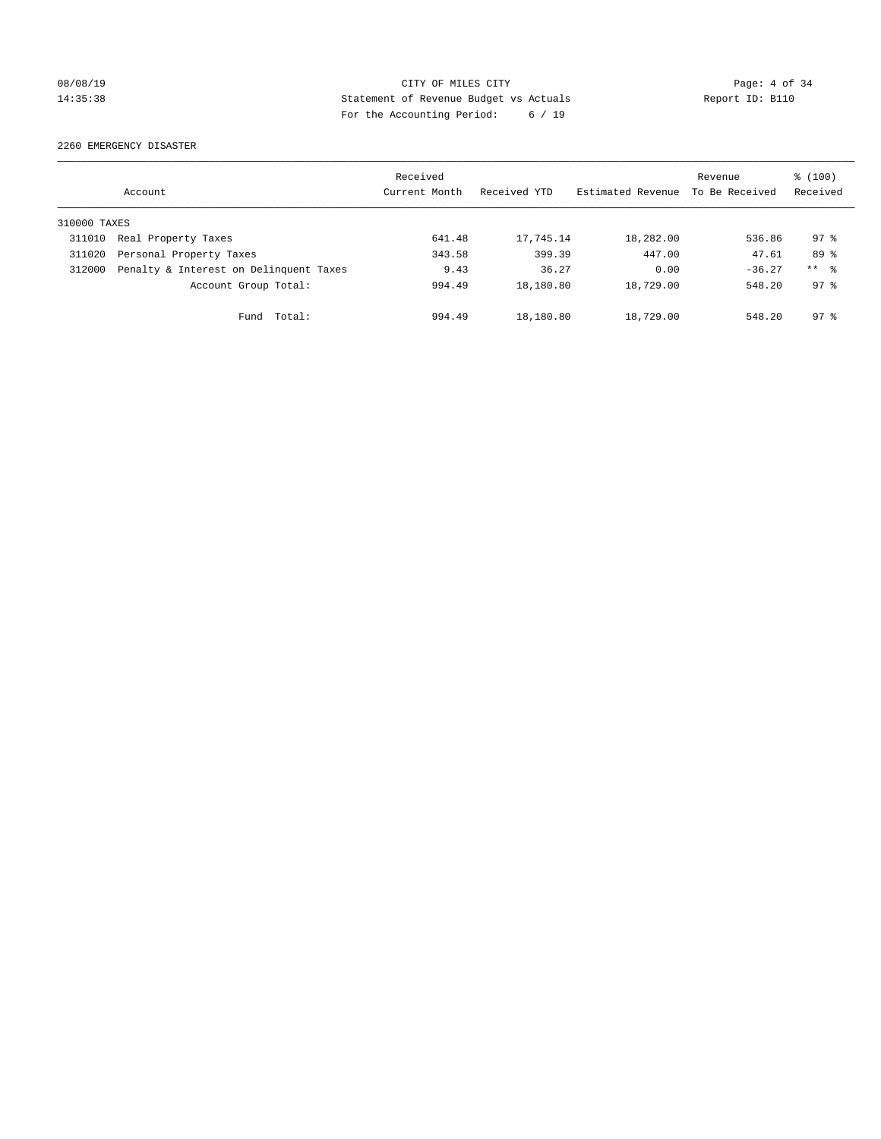# 08/08/19 CITY OF MILES CITY Page: 4 of 34 14:35:38 Statement of Revenue Budget vs Actuals Report ID: B110 For the Accounting Period: 6 / 19

2260 EMERGENCY DISASTER

|              | Account                                | Received<br>Current Month | Received YTD | Estimated Revenue | Revenue<br>To Be Received | $\frac{100}{3}$<br>Received |
|--------------|----------------------------------------|---------------------------|--------------|-------------------|---------------------------|-----------------------------|
| 310000 TAXES |                                        |                           |              |                   |                           |                             |
| 311010       | Real Property Taxes                    | 641.48                    | 17,745.14    | 18,282.00         | 536.86                    | 97.8                        |
| 311020       | Personal Property Taxes                | 343.58                    | 399.39       | 447.00            | 47.61                     | 89 %                        |
| 312000       | Penalty & Interest on Delinquent Taxes | 9.43                      | 36.27        | 0.00              | $-36.27$                  | $***$ $\approx$             |
|              | Account Group Total:                   | 994.49                    | 18,180.80    | 18,729.00         | 548.20                    | $97*$                       |
|              | Fund Total:                            | 994.49                    | 18,180.80    | 18,729.00         | 548.20                    | 97.8                        |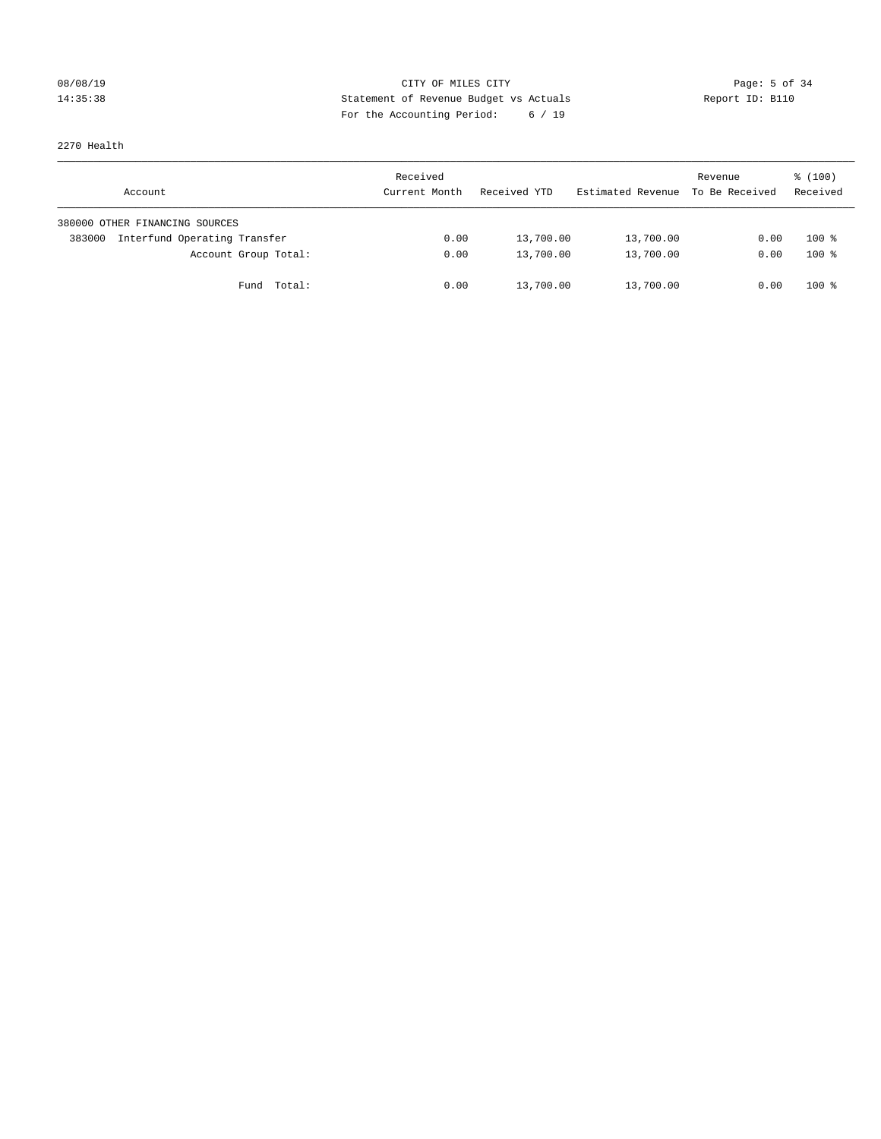# 08/08/19 Page: 5 of 34 14:35:38 Statement of Revenue Budget vs Actuals Report ID: B110 For the Accounting Period: 6 / 19

2270 Health

| Account                                | Received<br>Current Month | Received YTD | Estimated Revenue | Revenue<br>To Be Received | $\frac{100}{3}$<br>Received |
|----------------------------------------|---------------------------|--------------|-------------------|---------------------------|-----------------------------|
| 380000 OTHER FINANCING SOURCES         |                           |              |                   |                           |                             |
| Interfund Operating Transfer<br>383000 | 0.00                      | 13,700.00    | 13,700.00         | 0.00                      | $100*$                      |
| Account Group Total:                   | 0.00                      | 13,700.00    | 13,700.00         | 0.00                      | $100*$                      |
| Fund Total:                            | 0.00                      | 13,700.00    | 13,700.00         | 0.00                      | $100*$                      |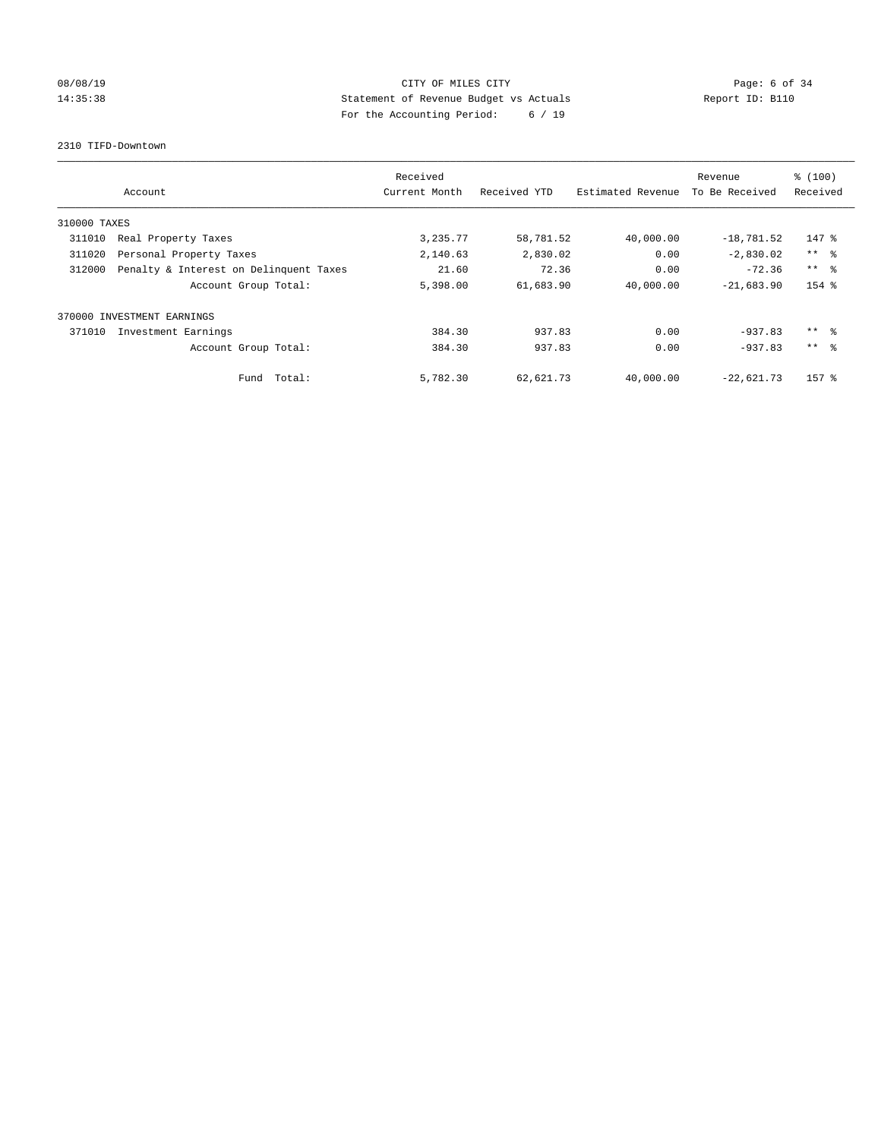# 08/08/19 CITY OF MILES CITY Page: 6 of 34 14:35:38 Statement of Revenue Budget vs Actuals Report ID: B110 For the Accounting Period: 6 / 19

#### 2310 TIFD-Downtown

| Account                           |                                        | Received<br>Current Month | Received YTD | Estimated Revenue | Revenue<br>To Be Received | % (100)<br>Received |
|-----------------------------------|----------------------------------------|---------------------------|--------------|-------------------|---------------------------|---------------------|
| 310000 TAXES                      |                                        |                           |              |                   |                           |                     |
| 311010<br>Real Property Taxes     |                                        | 3,235.77                  | 58,781.52    | 40,000.00         | $-18,781.52$              | $147$ %             |
| 311020<br>Personal Property Taxes |                                        | 2,140.63                  | 2,830.02     | 0.00              | $-2,830.02$               | $***$ $\approx$     |
| 312000                            | Penalty & Interest on Delinquent Taxes | 21.60                     | 72.36        | 0.00              | $-72.36$                  | $***$ $\approx$     |
|                                   | Account Group Total:                   | 5,398.00                  | 61,683.90    | 40,000.00         | $-21,683.90$              | 154 %               |
| INVESTMENT EARNINGS<br>370000     |                                        |                           |              |                   |                           |                     |
| 371010<br>Investment Earnings     |                                        | 384.30                    | 937.83       | 0.00              | $-937.83$                 | $***$ $\frac{6}{3}$ |
|                                   | Account Group Total:                   | 384.30                    | 937.83       | 0.00              | $-937.83$                 | $***$ $\approx$     |
|                                   | Fund Total:                            | 5,782.30                  | 62,621.73    | 40,000.00         | $-22,621.73$              | 157 %               |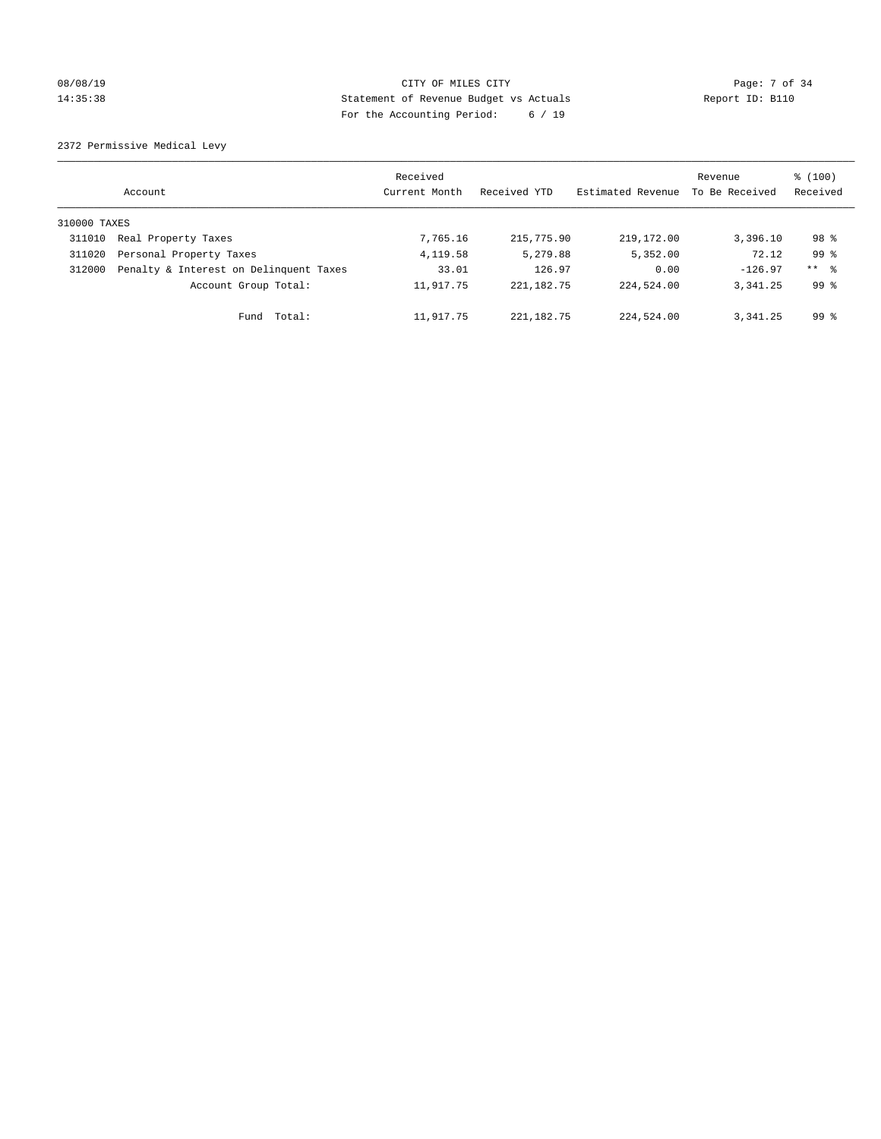# 08/08/19 Page: 7 of 34 14:35:38 Statement of Revenue Budget vs Actuals Report ID: B110 For the Accounting Period: 6 / 19

2372 Permissive Medical Levy

|              | Account                                | Received<br>Current Month | Received YTD | Estimated Revenue | Revenue<br>To Be Received | % (100)<br>Received |
|--------------|----------------------------------------|---------------------------|--------------|-------------------|---------------------------|---------------------|
| 310000 TAXES |                                        |                           |              |                   |                           |                     |
| 311010       | Real Property Taxes                    | 7,765.16                  | 215,775.90   | 219, 172.00       | 3,396.10                  | 98 %                |
| 311020       | Personal Property Taxes                | 4,119.58                  | 5,279.88     | 5,352.00          | 72.12                     | 99 <sup>8</sup>     |
| 312000       | Penalty & Interest on Delinquent Taxes | 33.01                     | 126.97       | 0.00              | $-126.97$                 | $***$ $\frac{6}{5}$ |
|              | Account Group Total:                   | 11,917.75                 | 221, 182. 75 | 224,524.00        | 3, 341, 25                | $99*$               |
|              | Fund Total:                            | 11,917.75                 | 221,182.75   | 224,524.00        | 3, 341, 25                | $99*$               |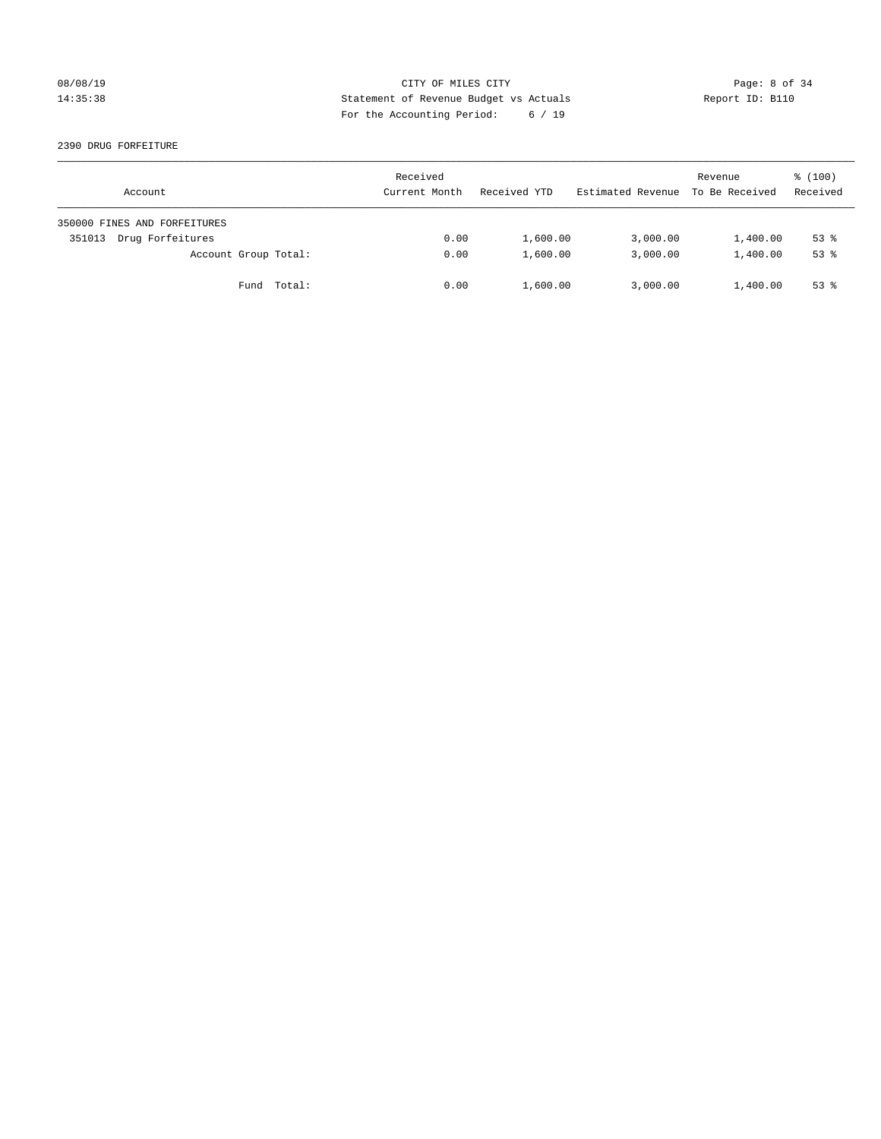# 08/08/19 CITY OF MILES CITY Page: 8 of 34 14:35:38 Statement of Revenue Budget vs Actuals Report ID: B110 For the Accounting Period: 6 / 19

#### 2390 DRUG FORFEITURE

| Account                      | Received<br>Current Month | Received YTD | Estimated Revenue | Revenue<br>To Be Received | $\frac{100}{3}$<br>Received |
|------------------------------|---------------------------|--------------|-------------------|---------------------------|-----------------------------|
| 350000 FINES AND FORFEITURES |                           |              |                   |                           |                             |
| Drug Forfeitures<br>351013   | 0.00                      | 1,600.00     | 3,000.00          | 1,400.00                  | $53$ $%$                    |
| Account Group Total:         | 0.00                      | 1,600.00     | 3,000.00          | 1,400.00                  | $53$ $%$                    |
| Fund Total:                  | 0.00                      | 1,600.00     | 3,000.00          | 1,400.00                  | $53$ $%$                    |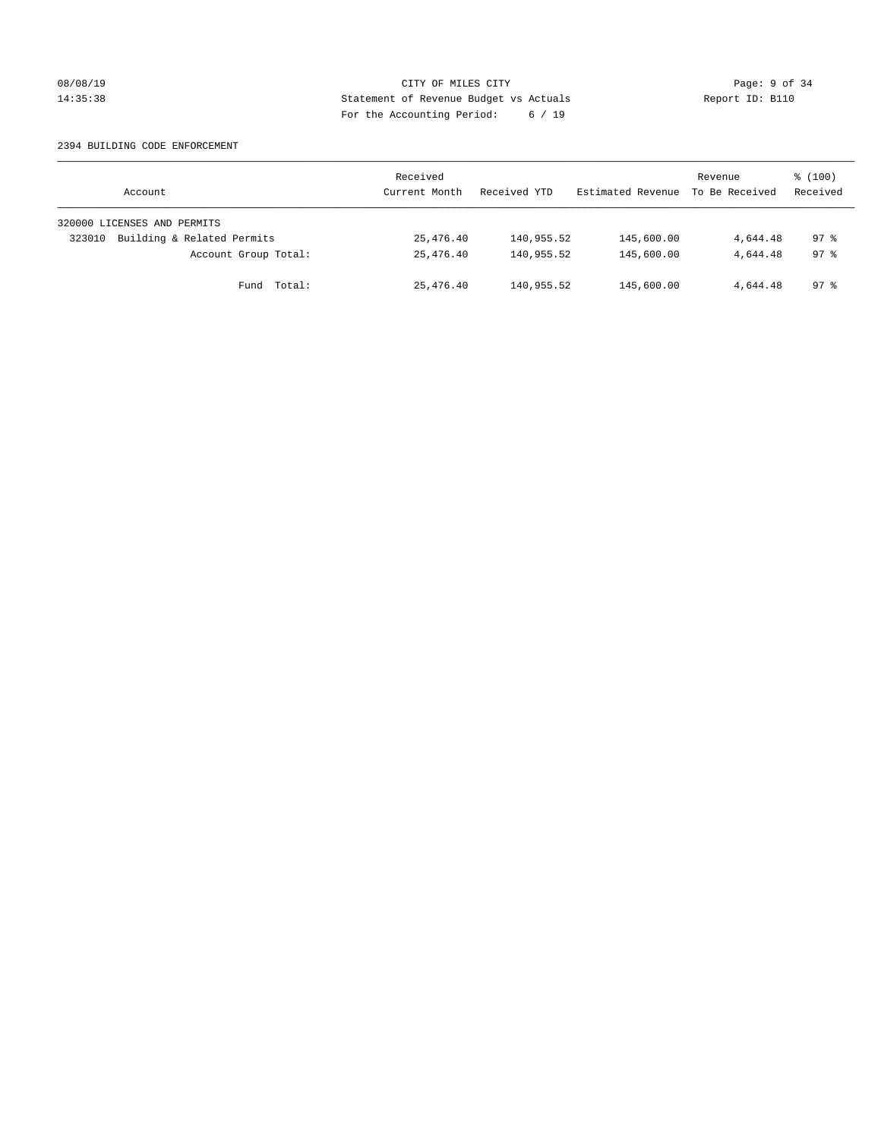#### 08/08/19 CITY OF MILES CITY Page: 9 of 34 14:35:38 Statement of Revenue Budget vs Actuals Report ID: B110 For the Accounting Period: 6 / 19

#### 2394 BUILDING CODE ENFORCEMENT

| Account                              | Received<br>Current Month | Received YTD | Estimated Revenue | Revenue<br>To Be Received | $\frac{100}{3}$<br>Received |
|--------------------------------------|---------------------------|--------------|-------------------|---------------------------|-----------------------------|
| 320000 LICENSES AND PERMITS          |                           |              |                   |                           |                             |
| Building & Related Permits<br>323010 | 25,476.40                 | 140,955.52   | 145,600.00        | 4,644.48                  | 97.8                        |
| Account Group Total:                 | 25,476.40                 | 140,955.52   | 145,600.00        | 4,644.48                  | 97.8                        |
| Fund Total:                          | 25,476.40                 | 140,955.52   | 145,600.00        | 4,644.48                  | $97*$                       |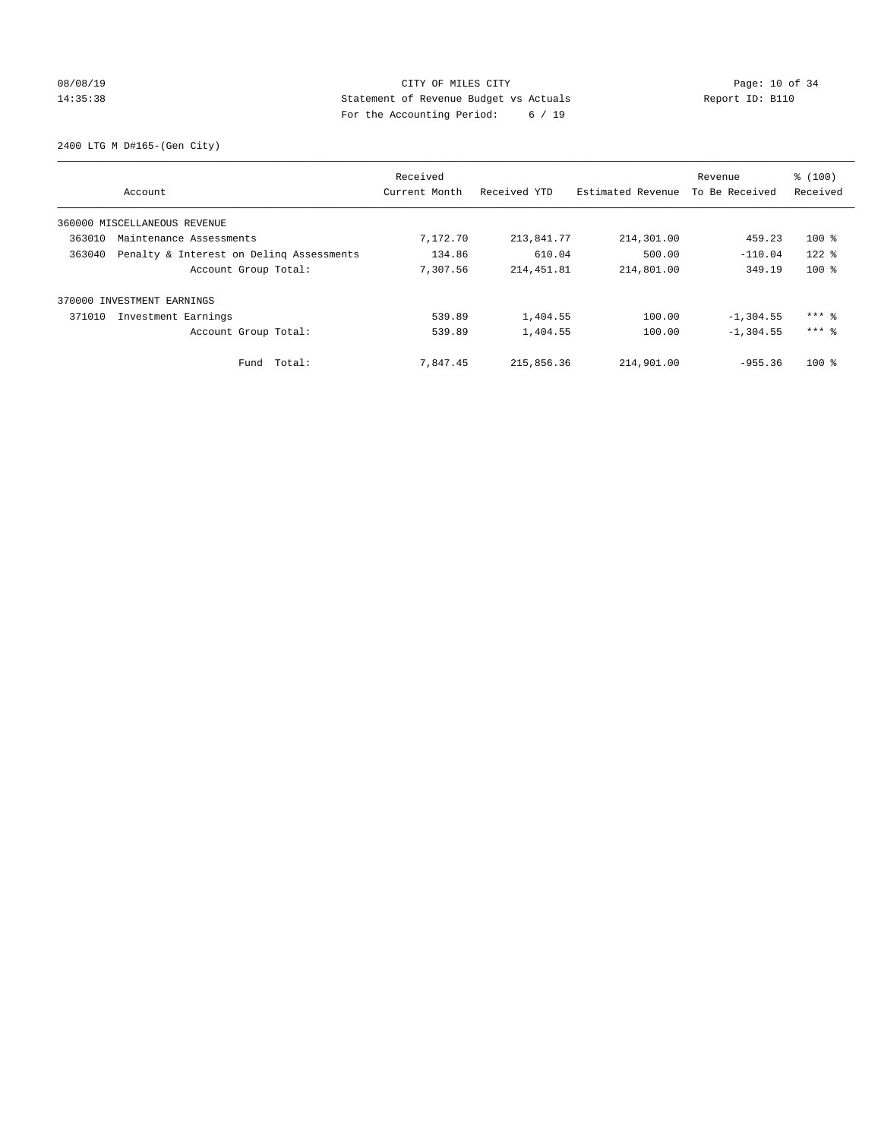# 08/08/19 Page: 10 of 34 14:35:38 Statement of Revenue Budget vs Actuals Report ID: B110 For the Accounting Period: 6 / 19

2400 LTG M D#165-(Gen City)

| Account                                            | Received<br>Current Month | Received YTD | Estimated Revenue | Revenue<br>To Be Received | % (100)<br>Received |
|----------------------------------------------------|---------------------------|--------------|-------------------|---------------------------|---------------------|
| 360000 MISCELLANEOUS REVENUE                       |                           |              |                   |                           |                     |
| 363010<br>Maintenance Assessments                  | 7,172.70                  | 213,841.77   | 214,301.00        | 459.23                    | $100$ %             |
| Penalty & Interest on Deling Assessments<br>363040 | 134.86                    | 610.04       | 500.00            | $-110.04$                 | $122$ %             |
| Account Group Total:                               | 7.307.56                  | 214, 451.81  | 214,801.00        | 349.19                    | $100*$              |
| 370000 INVESTMENT EARNINGS                         |                           |              |                   |                           |                     |
| 371010<br>Investment Earnings                      | 539.89                    | 1,404.55     | 100.00            | $-1, 304.55$              | $***$ $%$           |
| Account Group Total:                               | 539.89                    | 1,404.55     | 100.00            | $-1, 304.55$              | $***$ $%$           |
| Fund Total:                                        | 7,847.45                  | 215,856.36   | 214,901.00        | $-955.36$                 | $100*$              |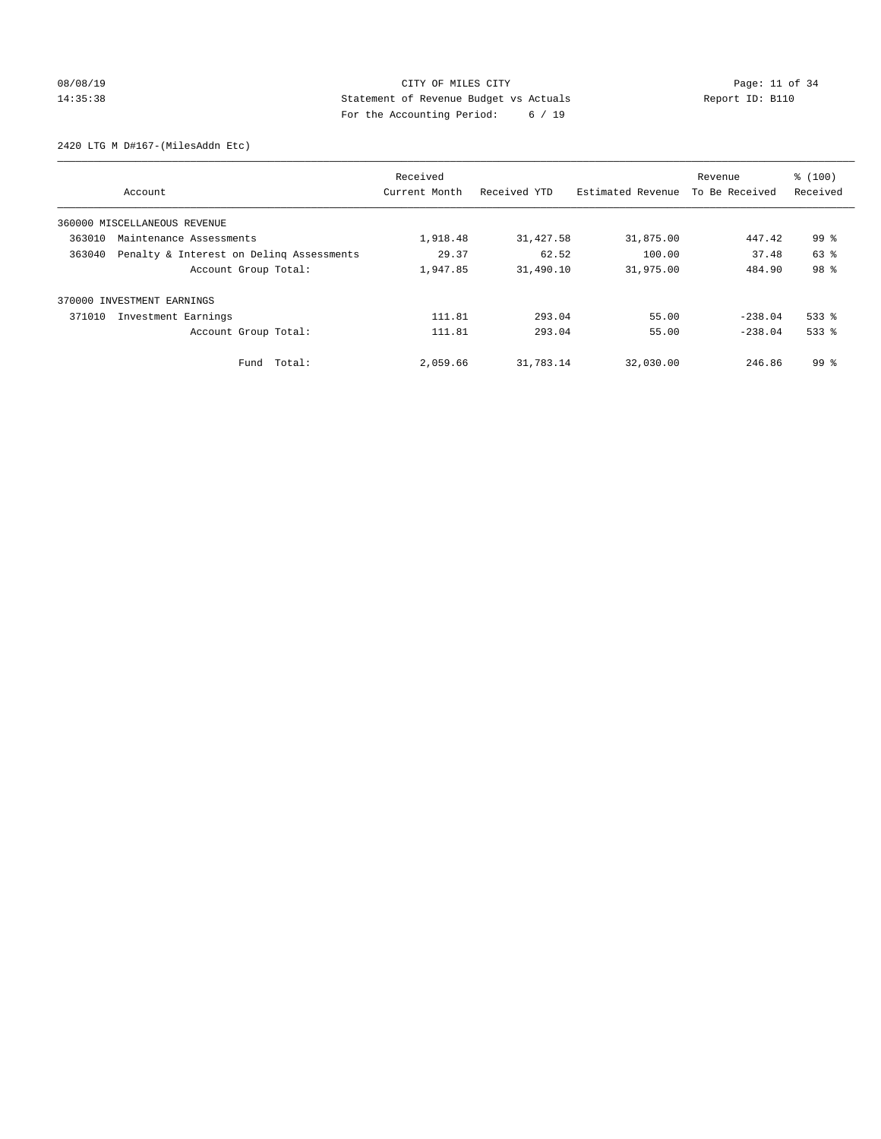# 08/08/19 Page: 11 of 34 14:35:38 Statement of Revenue Budget vs Actuals Report ID: B110 For the Accounting Period: 6 / 19

2420 LTG M D#167-(MilesAddn Etc)

|        | Account                                  | Received<br>Current Month | Received YTD | Estimated Revenue | Revenue<br>To Be Received | % (100)<br>Received |
|--------|------------------------------------------|---------------------------|--------------|-------------------|---------------------------|---------------------|
|        | 360000 MISCELLANEOUS REVENUE             |                           |              |                   |                           |                     |
| 363010 | Maintenance Assessments                  | 1,918.48                  | 31,427.58    | 31,875.00         | 447.42                    | 99 <sup>8</sup>     |
| 363040 | Penalty & Interest on Deling Assessments | 29.37                     | 62.52        | 100.00            | 37.48                     | 63 %                |
|        | Account Group Total:                     | 1,947.85                  | 31,490.10    | 31,975.00         | 484.90                    | 98 %                |
| 370000 | INVESTMENT EARNINGS                      |                           |              |                   |                           |                     |
| 371010 | Investment Earnings                      | 111.81                    | 293.04       | 55.00             | $-238.04$                 | $533$ $%$           |
|        | Account Group Total:                     | 111.81                    | 293.04       | 55.00             | $-238.04$                 | $533$ $%$           |
|        | Fund Total:                              | 2,059.66                  | 31,783.14    | 32,030.00         | 246.86                    | $99*$               |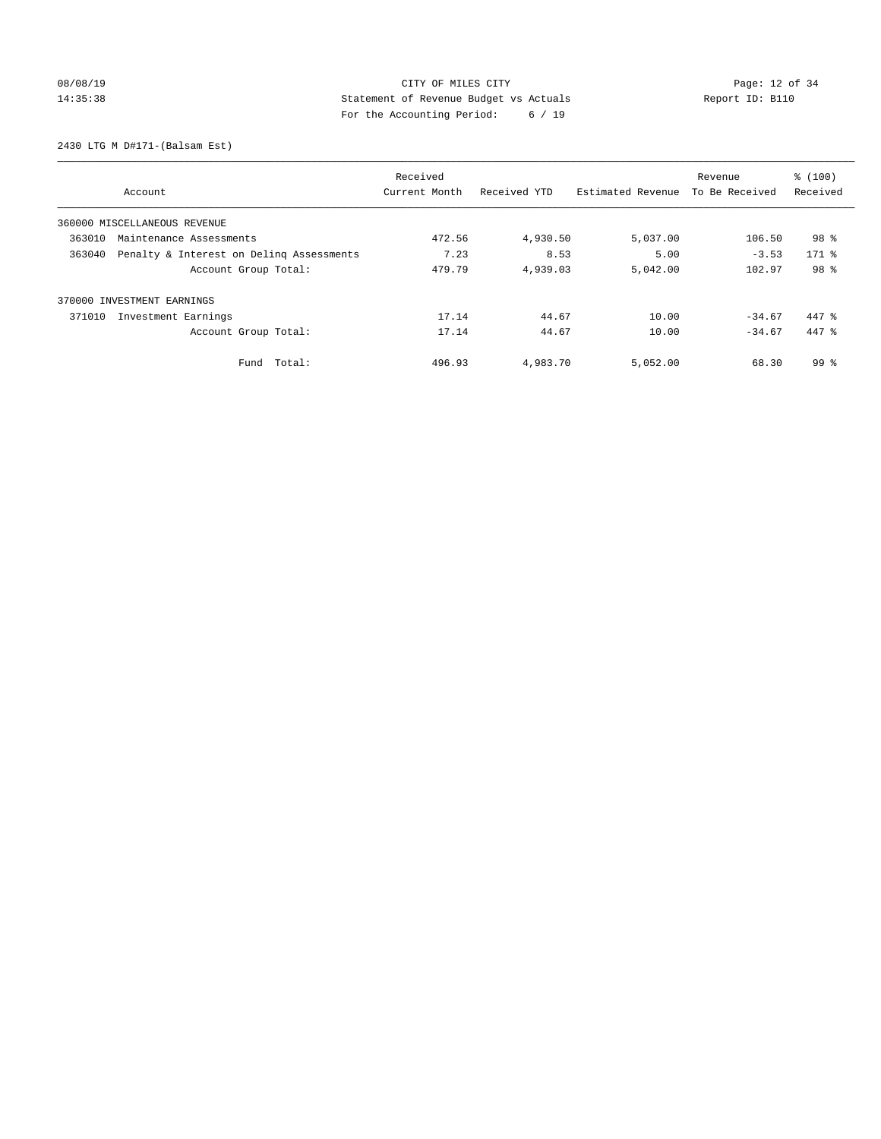# 08/08/19 Page: 12 of 34 14:35:38 Statement of Revenue Budget vs Actuals Report ID: B110 For the Accounting Period: 6 / 19

2430 LTG M D#171-(Balsam Est)

|                                                    | Received      |              |                   | Revenue        | % (100)         |
|----------------------------------------------------|---------------|--------------|-------------------|----------------|-----------------|
| Account                                            | Current Month | Received YTD | Estimated Revenue | To Be Received | Received        |
| 360000 MISCELLANEOUS REVENUE                       |               |              |                   |                |                 |
| 363010<br>Maintenance Assessments                  | 472.56        | 4,930.50     | 5,037.00          | 106.50         | 98 <sup>8</sup> |
| Penalty & Interest on Deling Assessments<br>363040 | 7.23          | 8.53         | 5.00              | $-3.53$        | $171$ %         |
| Account Group Total:                               | 479.79        | 4,939.03     | 5,042.00          | 102.97         | 98 %            |
| 370000 INVESTMENT EARNINGS                         |               |              |                   |                |                 |
| 371010<br>Investment Earnings                      | 17.14         | 44.67        | 10.00             | $-34.67$       | 447 %           |
| Account Group Total:                               | 17.14         | 44.67        | 10.00             | $-34.67$       | 447 %           |
| Total:<br>Fund                                     | 496.93        | 4,983.70     | 5,052.00          | 68.30          | 99 <sup>8</sup> |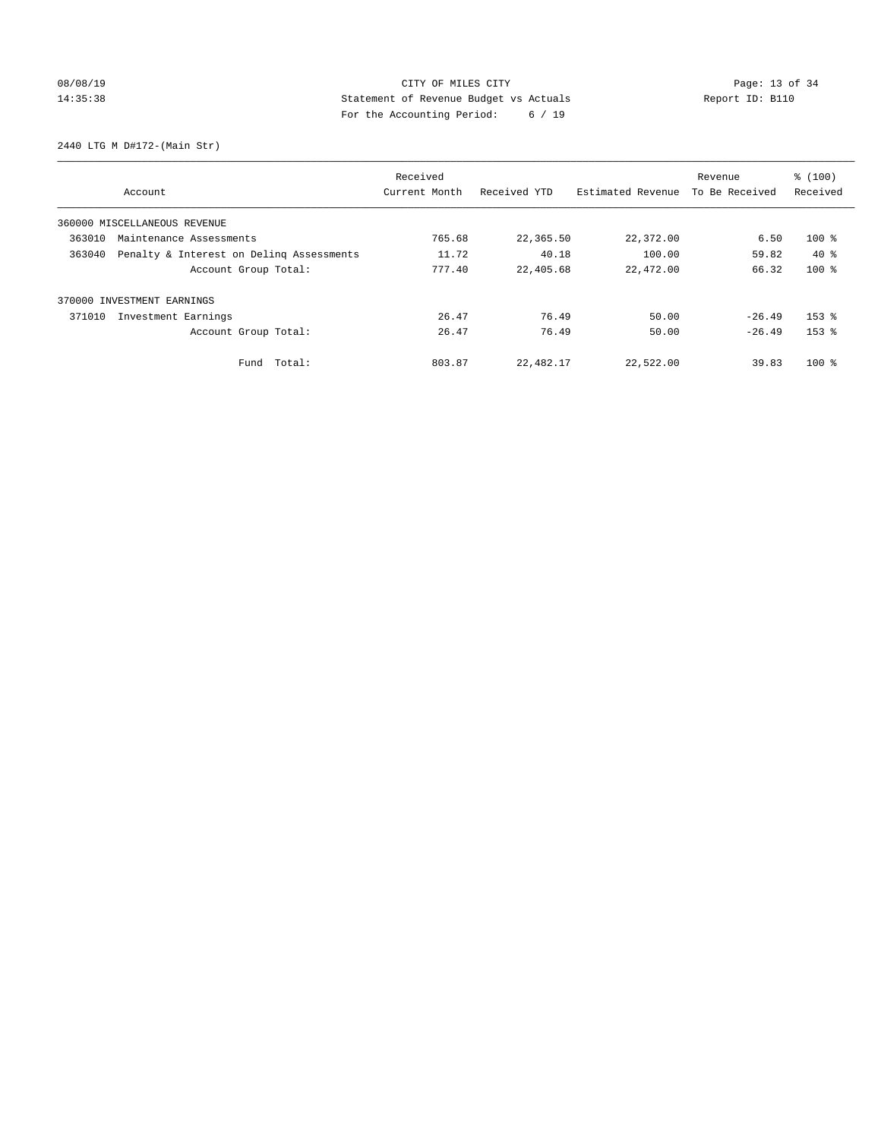# 08/08/19 Page: 13 of 34 14:35:38 Statement of Revenue Budget vs Actuals Report ID: B110 For the Accounting Period: 6 / 19

2440 LTG M D#172-(Main Str)

|                                   |                                          | Received      |              |                   | Revenue        | % (100)   |
|-----------------------------------|------------------------------------------|---------------|--------------|-------------------|----------------|-----------|
| Account                           |                                          | Current Month | Received YTD | Estimated Revenue | To Be Received | Received  |
| 360000 MISCELLANEOUS REVENUE      |                                          |               |              |                   |                |           |
| 363010<br>Maintenance Assessments |                                          | 765.68        | 22,365.50    | 22,372.00         | 6.50           | $100$ %   |
| 363040                            | Penalty & Interest on Deling Assessments | 11.72         | 40.18        | 100.00            | 59.82          | $40*$     |
|                                   | Account Group Total:                     | 777.40        | 22,405.68    | 22,472.00         | 66.32          | $100*$    |
| 370000 INVESTMENT EARNINGS        |                                          |               |              |                   |                |           |
| 371010<br>Investment Earnings     |                                          | 26.47         | 76.49        | 50.00             | $-26.49$       | $153$ $%$ |
|                                   | Account Group Total:                     | 26.47         | 76.49        | 50.00             | $-26.49$       | $153$ $%$ |
|                                   | Fund Total:                              | 803.87        | 22,482.17    | 22,522.00         | 39.83          | $100*$    |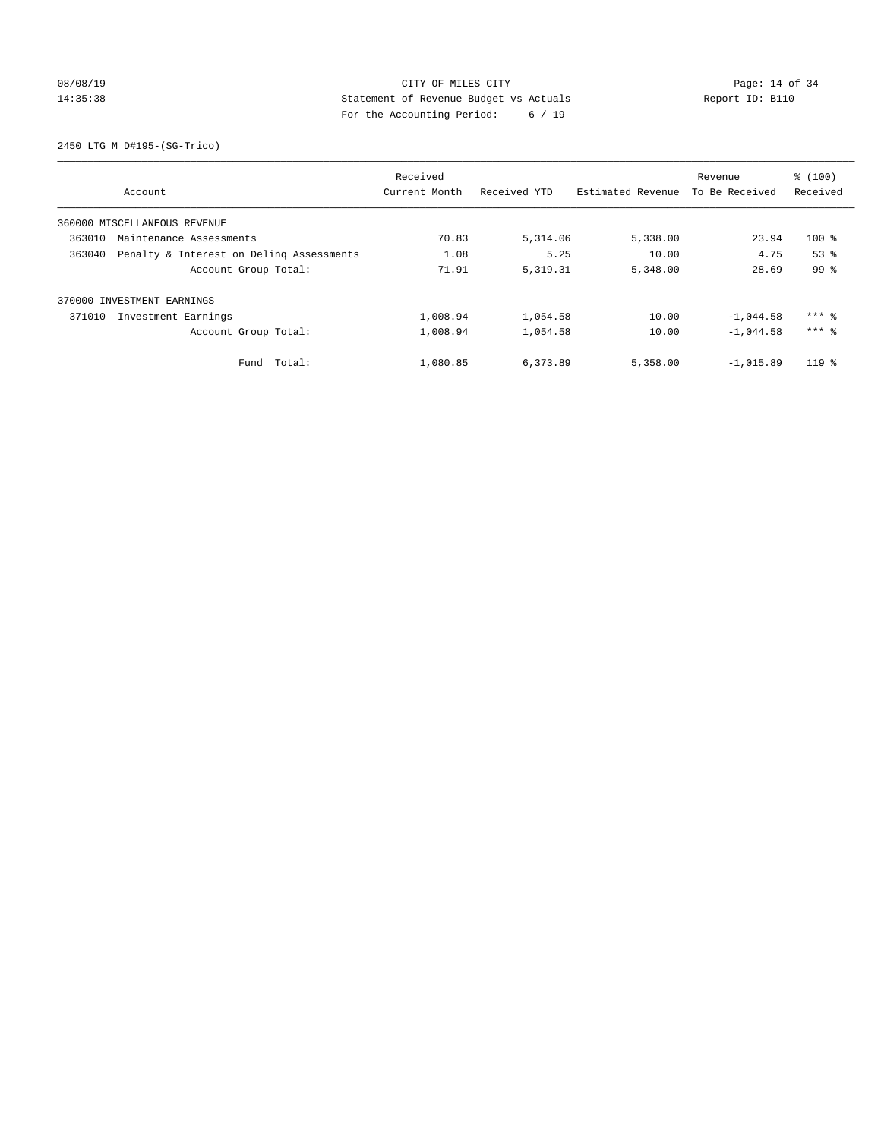# 08/08/19 Page: 14 of 34 14:35:38 Statement of Revenue Budget vs Actuals Report ID: B110 For the Accounting Period: 6 / 19

2450 LTG M D#195-(SG-Trico)

|                                                    | Received      |              |                   | Revenue        | % (100)             |
|----------------------------------------------------|---------------|--------------|-------------------|----------------|---------------------|
| Account                                            | Current Month | Received YTD | Estimated Revenue | To Be Received | Received            |
| 360000 MISCELLANEOUS REVENUE                       |               |              |                   |                |                     |
| 363010<br>Maintenance Assessments                  | 70.83         | 5,314.06     | 5,338.00          | 23.94          | $100$ %             |
| 363040<br>Penalty & Interest on Deling Assessments | 1.08          | 5.25         | 10.00             | 4.75           | 53 <sup>8</sup>     |
| Account Group Total:                               | 71.91         | 5, 319. 31   | 5,348.00          | 28.69          | 99 <sup>8</sup>     |
| 370000 INVESTMENT EARNINGS                         |               |              |                   |                |                     |
| 371010<br>Investment Earnings                      | 1,008.94      | 1,054.58     | 10.00             | $-1,044.58$    | $***$ $%$           |
| Account Group Total:                               | 1,008.94      | 1,054.58     | 10.00             | $-1.044.58$    | $***$ $\frac{6}{5}$ |
| Total:<br>Fund                                     | 1,080.85      | 6,373.89     | 5,358.00          | $-1,015.89$    | $119*$              |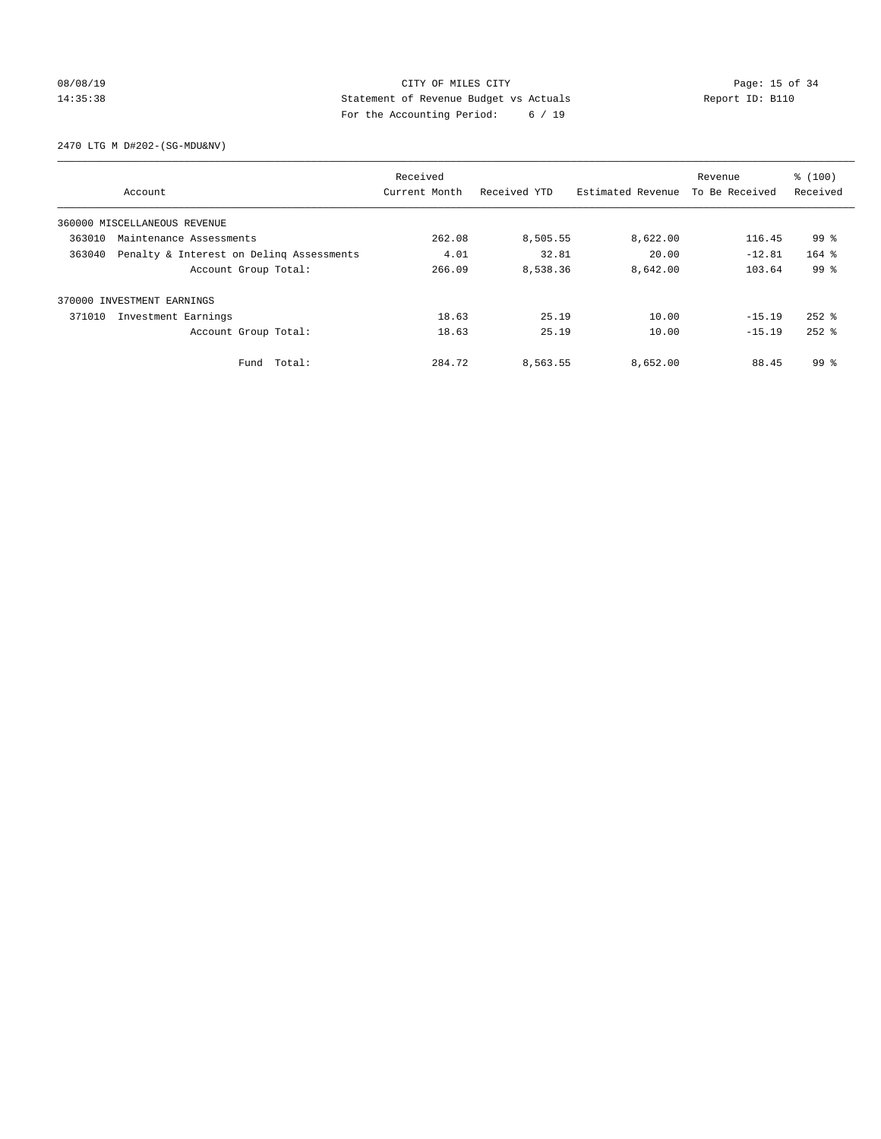# 08/08/19 Page: 15 of 34 14:35:38 Statement of Revenue Budget vs Actuals Report ID: B110 For the Accounting Period: 6 / 19

2470 LTG M D#202-(SG-MDU&NV)

|                                                    | Received      |              |                   | Revenue        | % (100)         |
|----------------------------------------------------|---------------|--------------|-------------------|----------------|-----------------|
| Account                                            | Current Month | Received YTD | Estimated Revenue | To Be Received | Received        |
| 360000 MISCELLANEOUS REVENUE                       |               |              |                   |                |                 |
| 363010<br>Maintenance Assessments                  | 262.08        | 8,505.55     | 8,622.00          | 116.45         | 99 %            |
| Penalty & Interest on Deling Assessments<br>363040 | 4.01          | 32.81        | 20.00             | $-12.81$       | $164$ %         |
| Account Group Total:                               | 266.09        | 8,538.36     | 8,642.00          | 103.64         | 99 <sup>8</sup> |
| 370000 INVESTMENT EARNINGS                         |               |              |                   |                |                 |
| 371010<br>Investment Earnings                      | 18.63         | 25.19        | 10.00             | $-15.19$       | $252$ $%$       |
| Account Group Total:                               | 18.63         | 25.19        | 10.00             | $-15.19$       | $252$ $%$       |
| Total:<br>Fund                                     | 284.72        | 8,563.55     | 8,652.00          | 88.45          | 99 %            |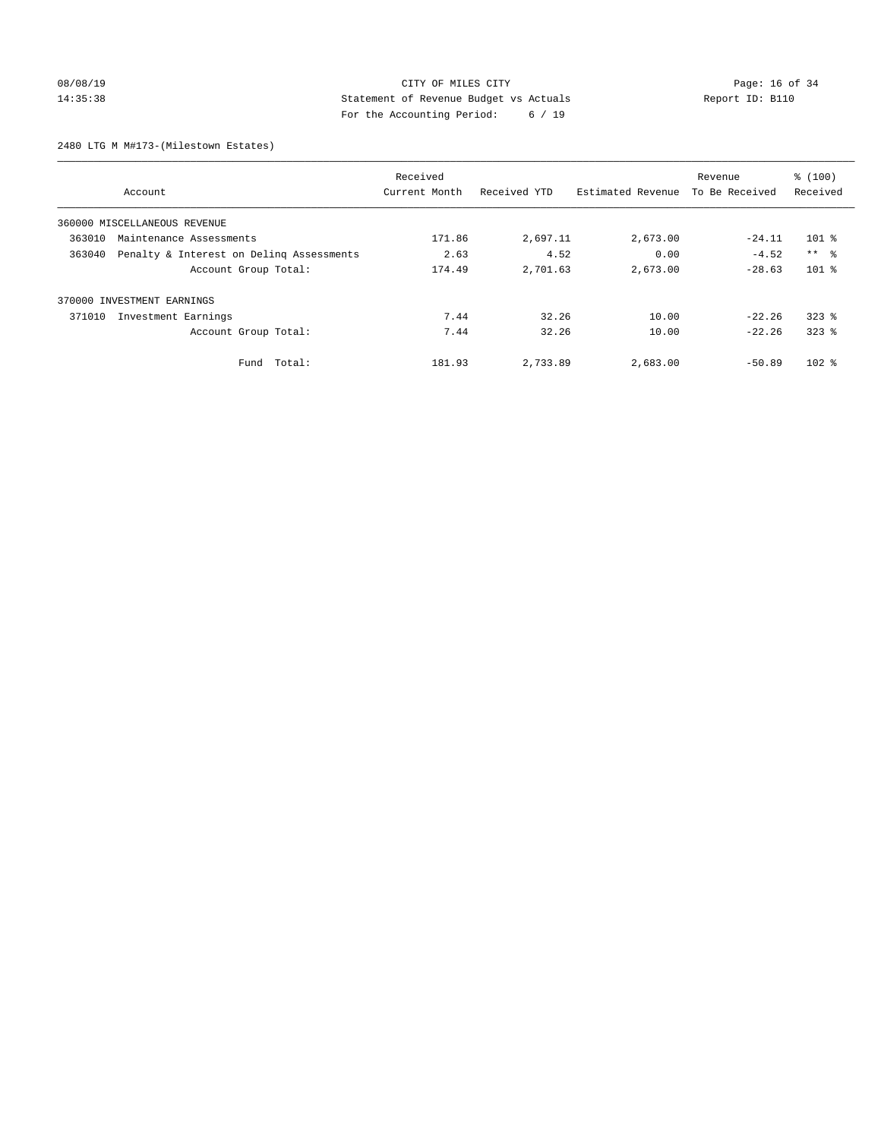# 08/08/19 Page: 16 of 34 14:35:38 Statement of Revenue Budget vs Actuals Report ID: B110 For the Accounting Period: 6 / 19

2480 LTG M M#173-(Milestown Estates)

| Account                                            | Received<br>Current Month | Received YTD | Estimated Revenue | Revenue<br>To Be Received | % (100)<br>Received |
|----------------------------------------------------|---------------------------|--------------|-------------------|---------------------------|---------------------|
|                                                    |                           |              |                   |                           |                     |
| 360000 MISCELLANEOUS REVENUE                       |                           |              |                   |                           |                     |
| 363010<br>Maintenance Assessments                  | 171.86                    | 2,697.11     | 2,673.00          | $-24.11$                  | $101$ %             |
| Penalty & Interest on Deling Assessments<br>363040 | 2.63                      | 4.52         | 0.00              | $-4.52$                   | $***$ $\approx$     |
| Account Group Total:                               | 174.49                    | 2,701.63     | 2,673.00          | $-28.63$                  | $101$ %             |
| INVESTMENT EARNINGS<br>370000                      |                           |              |                   |                           |                     |
| 371010<br>Investment Earnings                      | 7.44                      | 32.26        | 10.00             | $-22.26$                  | $323$ $%$           |
| Account Group Total:                               | 7.44                      | 32.26        | 10.00             | $-22.26$                  | $323$ $%$           |
| Fund Total:                                        | 181.93                    | 2,733.89     | 2,683.00          | $-50.89$                  | $102$ %             |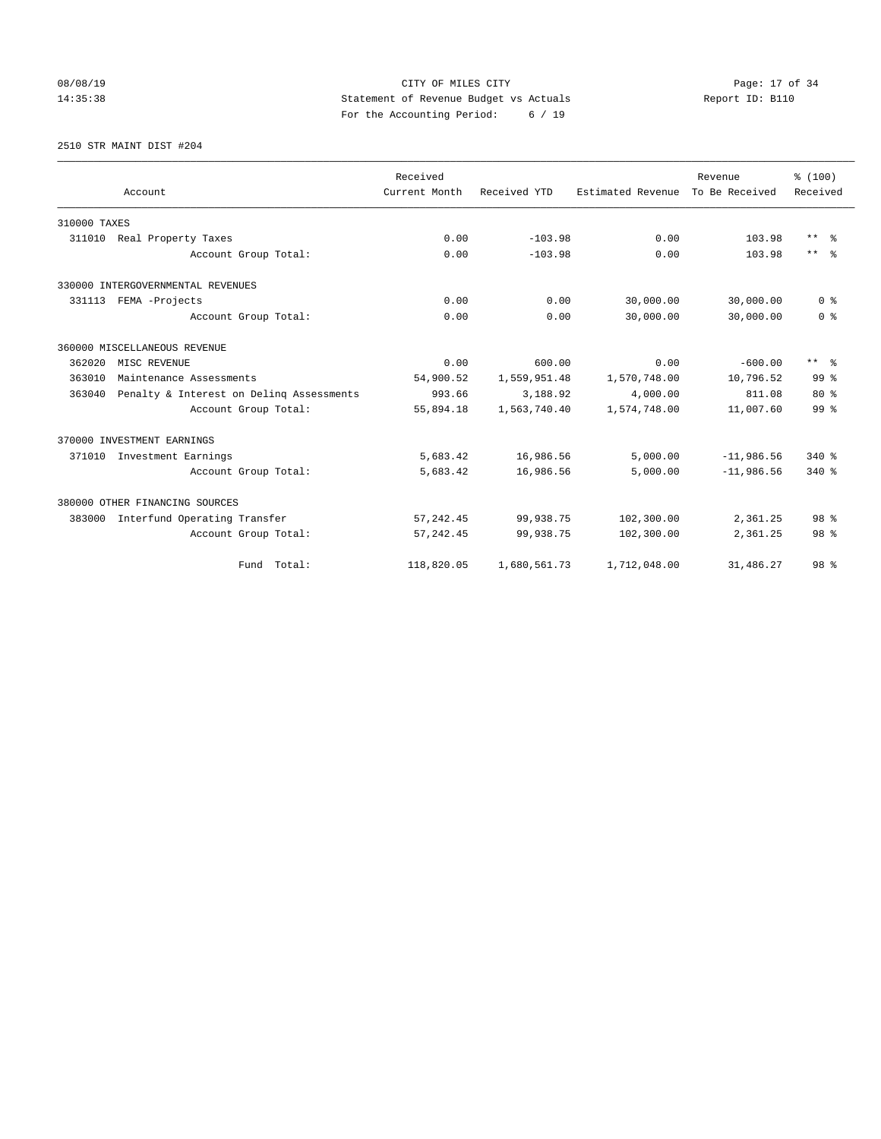# 08/08/19 Page: 17 of 34 14:35:38 Statement of Revenue Budget vs Actuals Report ID: B110 For the Accounting Period: 6 / 19

#### 2510 STR MAINT DIST #204

|              |                                          | Received      |              |                   | Revenue        | % (100)         |
|--------------|------------------------------------------|---------------|--------------|-------------------|----------------|-----------------|
|              | Account                                  | Current Month | Received YTD | Estimated Revenue | To Be Received | Received        |
| 310000 TAXES |                                          |               |              |                   |                |                 |
| 311010       | Real Property Taxes                      | 0.00          | $-103.98$    | 0.00              | 103.98         | $***$ $ -$      |
|              | Account Group Total:                     | 0.00          | $-103.98$    | 0.00              | 103.98         | $***$ $ -$      |
|              | 330000 INTERGOVERNMENTAL REVENUES        |               |              |                   |                |                 |
|              | 331113 FEMA -Projects                    | 0.00          | 0.00         | 30,000.00         | 30,000.00      | 0 <sup>8</sup>  |
|              | Account Group Total:                     | 0.00          | 0.00         | 30,000.00         | 30,000.00      | 0 <sup>8</sup>  |
|              | 360000 MISCELLANEOUS REVENUE             |               |              |                   |                |                 |
| 362020       | MISC REVENUE                             | 0.00          | 600.00       | 0.00              | $-600.00$      | $***$ $=$       |
| 363010       | Maintenance Assessments                  | 54,900.52     | 1,559,951.48 | 1,570,748.00      | 10,796.52      | 99 <sup>8</sup> |
| 363040       | Penalty & Interest on Deling Assessments | 993.66        | 3,188.92     | 4,000.00          | 811.08         | $80*$           |
|              | Account Group Total:                     | 55,894.18     | 1,563,740.40 | 1,574,748.00      | 11,007.60      | 99 <sup>°</sup> |
|              | 370000 INVESTMENT EARNINGS               |               |              |                   |                |                 |
| 371010       | Investment Earnings                      | 5,683.42      | 16,986.56    | 5,000.00          | $-11,986.56$   | $340*$          |
|              | Account Group Total:                     | 5,683.42      | 16,986.56    | 5.000.00          | $-11,986,56$   | $340*$          |
|              | 380000 OTHER FINANCING SOURCES           |               |              |                   |                |                 |
| 383000       | Interfund Operating Transfer             | 57, 242.45    | 99,938.75    | 102,300.00        | 2,361.25       | 98 <sup>8</sup> |
|              | Account Group Total:                     | 57, 242.45    | 99,938.75    | 102,300.00        | 2,361.25       | 98 <sup>8</sup> |
|              | Fund Total:                              | 118,820.05    | 1,680,561.73 | 1,712,048.00      | 31,486.27      | 98 %            |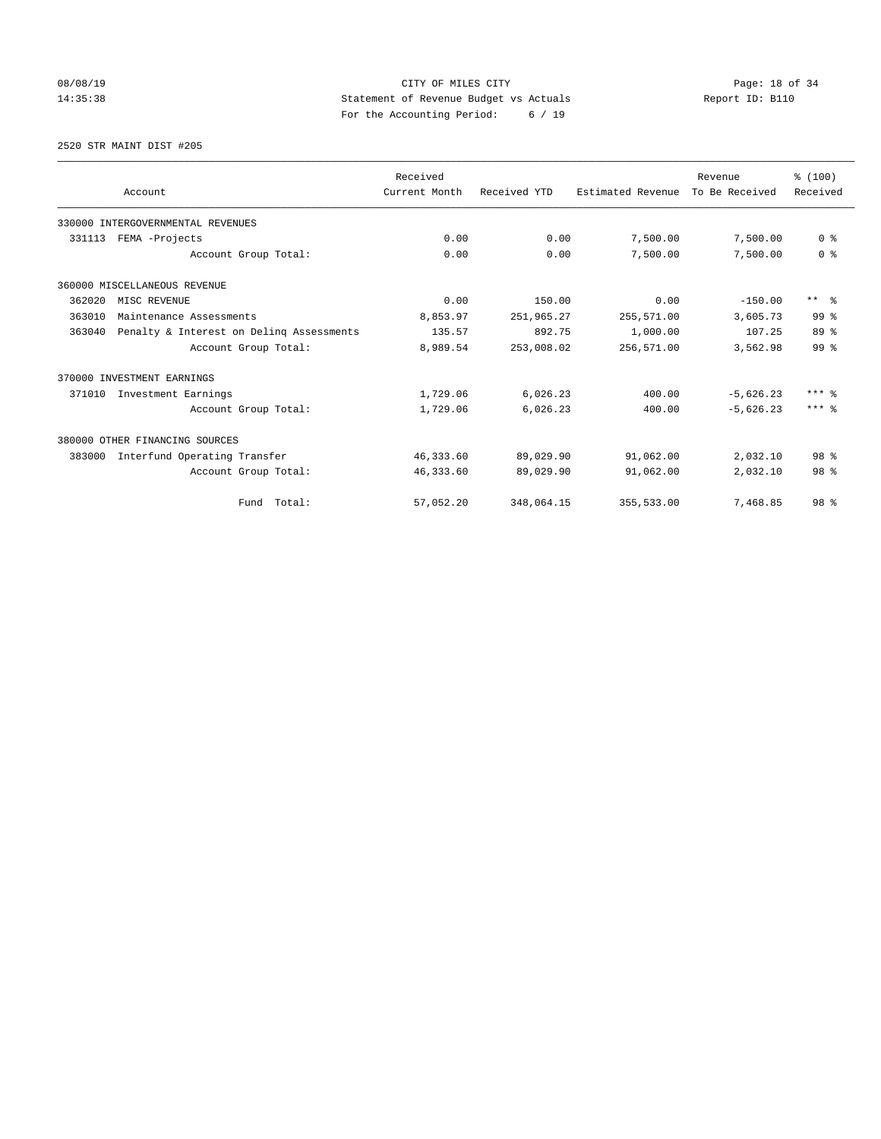# 08/08/19 Page: 18 of 34 14:35:38 Statement of Revenue Budget vs Actuals Report ID: B110 For the Accounting Period: 6 / 19

2520 STR MAINT DIST #205

|        |                                          | Received      |              |                   | Revenue        | % (100)                 |
|--------|------------------------------------------|---------------|--------------|-------------------|----------------|-------------------------|
|        | Account                                  | Current Month | Received YTD | Estimated Revenue | To Be Received | Received                |
|        | 330000 INTERGOVERNMENTAL REVENUES        |               |              |                   |                |                         |
| 331113 | FEMA -Projects                           | 0.00          | 0.00         | 7,500.00          | 7,500.00       | 0 <sup>8</sup>          |
|        | Account Group Total:                     | 0.00          | 0.00         | 7,500.00          | 7,500.00       | 0 <sup>8</sup>          |
|        | 360000 MISCELLANEOUS REVENUE             |               |              |                   |                |                         |
| 362020 | MISC REVENUE                             | 0.00          | 150.00       | 0.00              | $-150.00$      | $***$ $=$ $\frac{6}{5}$ |
| 363010 | Maintenance Assessments                  | 8,853.97      | 251,965.27   | 255,571.00        | 3,605.73       | 99 <sup>8</sup>         |
| 363040 | Penalty & Interest on Deling Assessments | 135.57        | 892.75       | 1,000.00          | 107.25         | 89 %                    |
|        | Account Group Total:                     | 8,989.54      | 253,008.02   | 256,571.00        | 3,562.98       | 99 <sup>8</sup>         |
|        | 370000 INVESTMENT EARNINGS               |               |              |                   |                |                         |
| 371010 | Investment Earnings                      | 1,729.06      | 6,026.23     | 400.00            | $-5,626.23$    | $***$ $%$               |
|        | Account Group Total:                     | 1,729.06      | 6,026.23     | 400.00            | $-5,626.23$    | $***$ %                 |
|        | 380000 OTHER FINANCING SOURCES           |               |              |                   |                |                         |
| 383000 | Interfund Operating Transfer             | 46,333.60     | 89,029.90    | 91,062.00         | 2,032.10       | 98 <sup>8</sup>         |
|        | Account Group Total:                     | 46,333.60     | 89,029.90    | 91,062.00         | 2,032.10       | 98 <sup>8</sup>         |
|        | Fund Total:                              | 57,052.20     | 348,064.15   | 355,533.00        | 7,468.85       | 98 <sup>8</sup>         |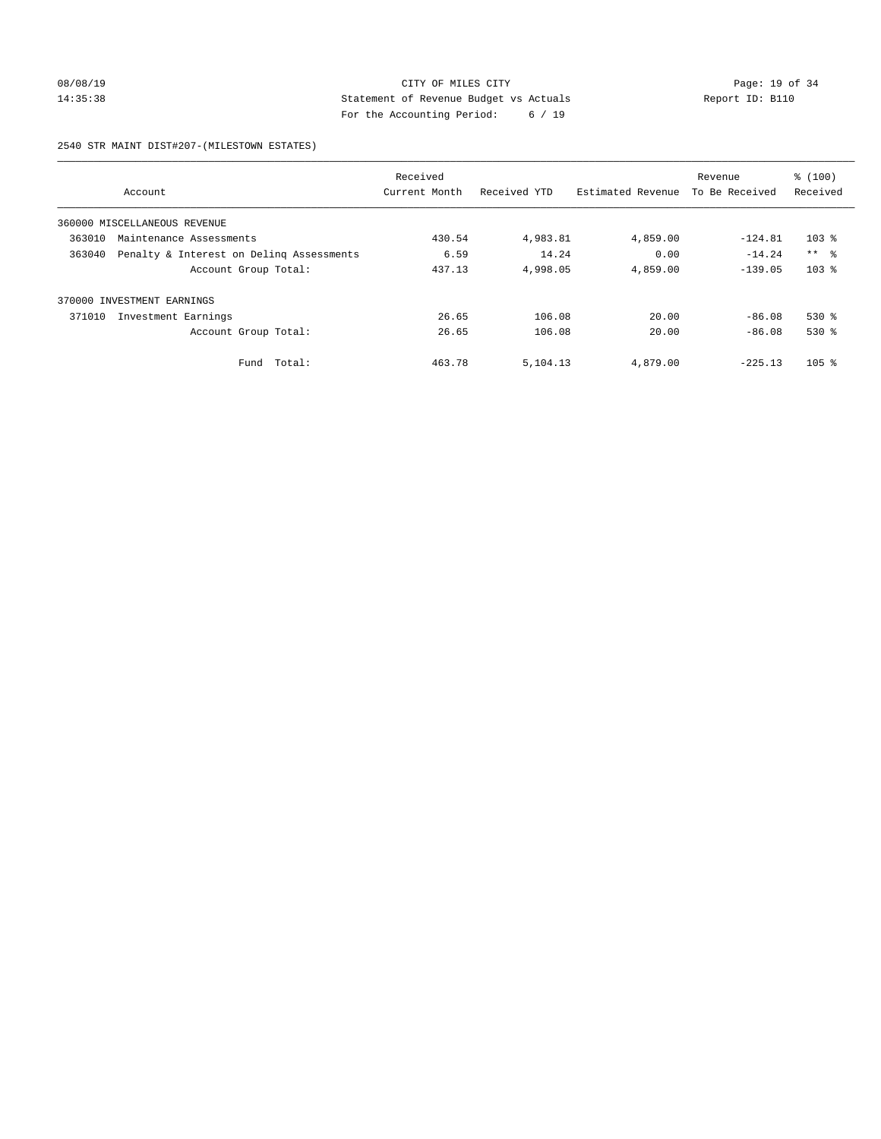# 08/08/19 Page: 19 of 34 14:35:38 Statement of Revenue Budget vs Actuals Report ID: B110 For the Accounting Period: 6 / 19

#### 2540 STR MAINT DIST#207-(MILESTOWN ESTATES)

| Account                      |                                          | Received<br>Current Month | Received YTD | Estimated Revenue | Revenue<br>To Be Received | % (100)<br>Received |
|------------------------------|------------------------------------------|---------------------------|--------------|-------------------|---------------------------|---------------------|
| 360000 MISCELLANEOUS REVENUE |                                          |                           |              |                   |                           |                     |
| 363010                       | Maintenance Assessments                  | 430.54                    | 4,983.81     | 4,859.00          | $-124.81$                 | $103$ $%$           |
| 363040                       | Penalty & Interest on Deling Assessments | 6.59                      | 14.24        | 0.00              | $-14.24$                  | $***$ $\approx$     |
|                              | Account Group Total:                     | 437.13                    | 4,998.05     | 4,859.00          | $-139.05$                 | $103$ $%$           |
| 370000 INVESTMENT EARNINGS   |                                          |                           |              |                   |                           |                     |
| 371010                       | Investment Earnings                      | 26.65                     | 106.08       | 20.00             | $-86.08$                  | $530*$              |
|                              | Account Group Total:                     | 26.65                     | 106.08       | 20.00             | $-86.08$                  | $530*$              |
|                              | Total:<br>Fund                           | 463.78                    | 5,104.13     | 4,879.00          | $-225.13$                 | $105$ %             |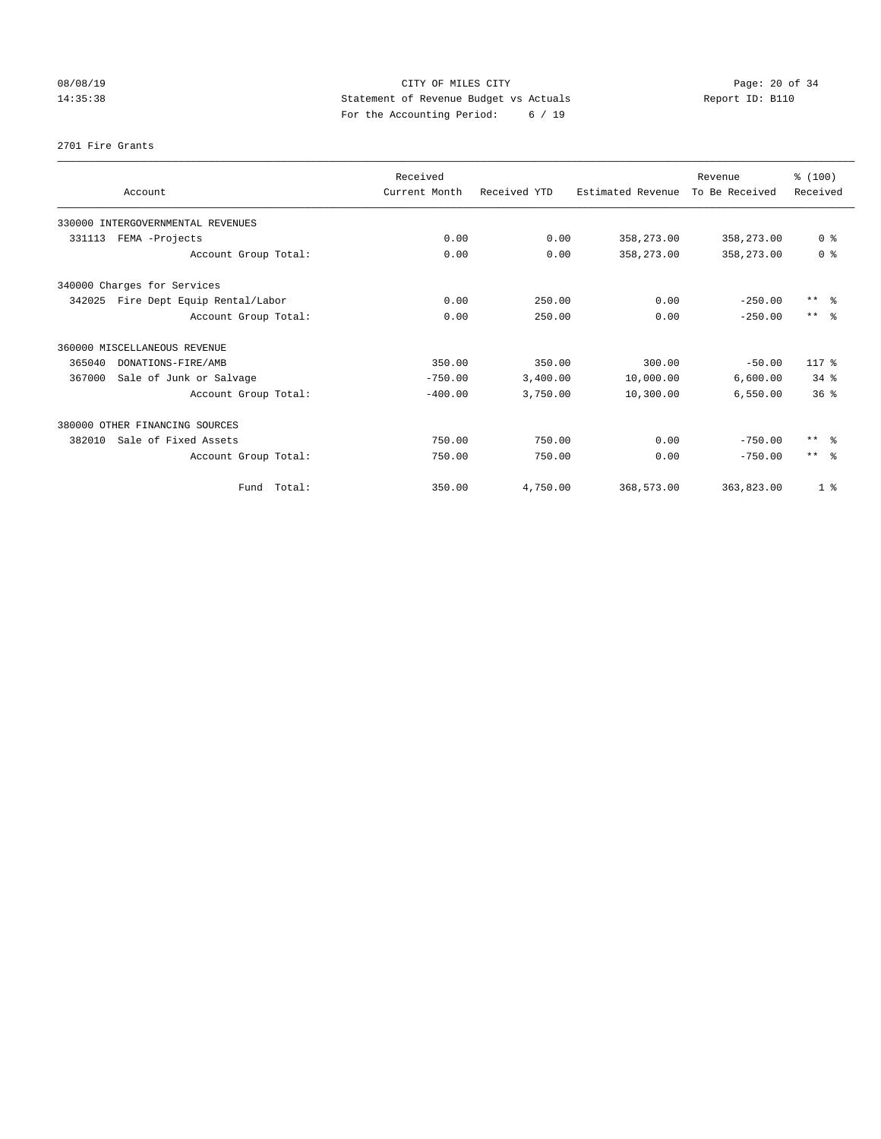# 08/08/19 Page: 20 of 34 14:35:38 Statement of Revenue Budget vs Actuals Report ID: B110 For the Accounting Period: 6 / 19

#### 2701 Fire Grants

| Account                                | Received<br>Current Month | Received YTD | Estimated Revenue | Revenue<br>To Be Received | % (100)<br>Received |
|----------------------------------------|---------------------------|--------------|-------------------|---------------------------|---------------------|
| 330000 INTERGOVERNMENTAL REVENUES      |                           |              |                   |                           |                     |
| 331113<br>FEMA -Projects               | 0.00                      | 0.00         | 358,273.00        | 358,273.00                | 0 <sup>8</sup>      |
| Account Group Total:                   | 0.00                      | 0.00         | 358,273.00        | 358,273.00                | 0 <sup>8</sup>      |
| 340000 Charges for Services            |                           |              |                   |                           |                     |
| 342025<br>Fire Dept Equip Rental/Labor | 0.00                      | 250.00       | 0.00              | $-250.00$                 | $***$ $=$           |
| Account Group Total:                   | 0.00                      | 250.00       | 0.00              | $-250.00$                 | $***$ $\approx$     |
| 360000 MISCELLANEOUS REVENUE           |                           |              |                   |                           |                     |
| 365040<br>DONATIONS-FIRE/AMB           | 350.00                    | 350.00       | 300.00            | $-50.00$                  | $117*$              |
| Sale of Junk or Salvage<br>367000      | $-750.00$                 | 3,400.00     | 10,000.00         | 6,600.00                  | 34.8                |
| Account Group Total:                   | $-400.00$                 | 3,750.00     | 10,300.00         | 6,550.00                  | 36 <sup>8</sup>     |
| 380000 OTHER FINANCING SOURCES         |                           |              |                   |                           |                     |
| Sale of Fixed Assets<br>382010         | 750.00                    | 750.00       | 0.00              | $-750.00$                 | $***$ $=$           |
| Account Group Total:                   | 750.00                    | 750.00       | 0.00              | $-750.00$                 | $***$ $ -$          |
| Fund Total:                            | 350.00                    | 4,750.00     | 368,573.00        | 363,823.00                | 1 <sup>8</sup>      |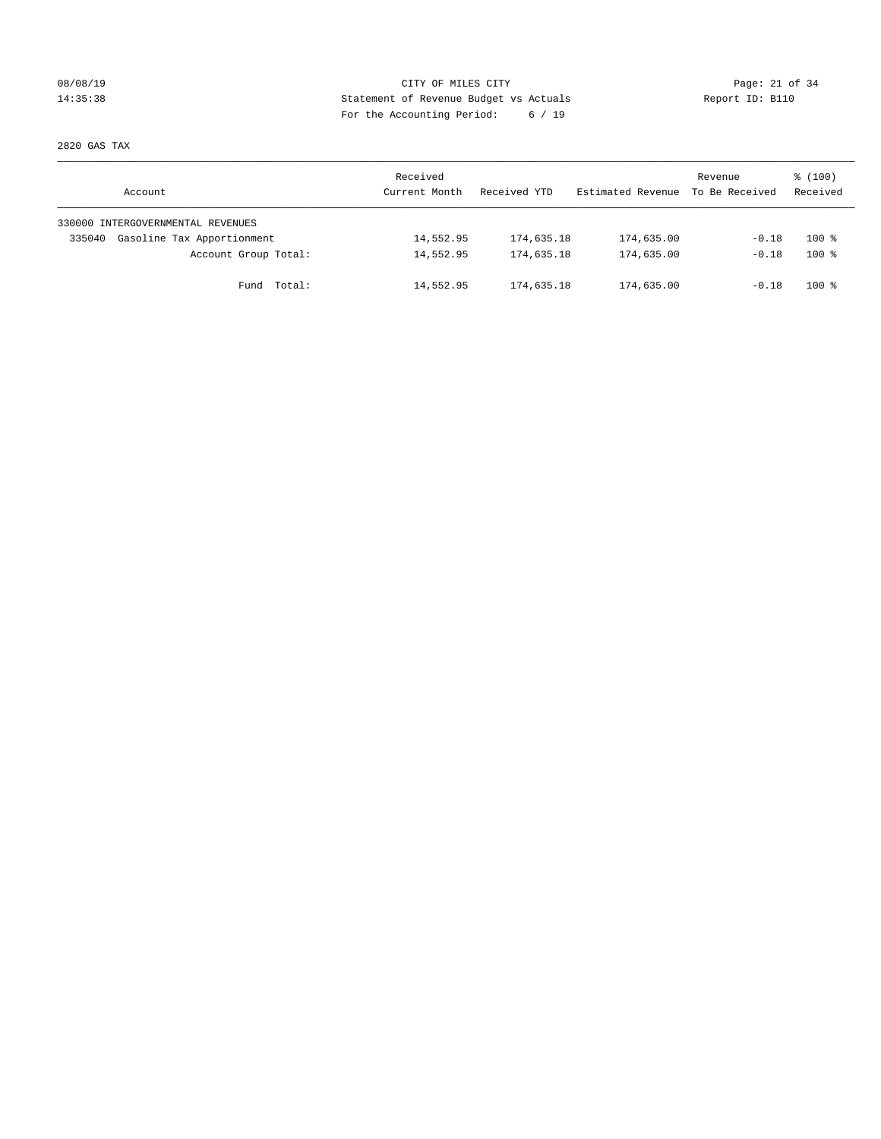# 08/08/19 Page: 21 of 34 14:35:38 Statement of Revenue Budget vs Actuals Report ID: B110 For the Accounting Period: 6 / 19

2820 GAS TAX

| Account                              | Received<br>Current Month | Received YTD | Estimated Revenue | Revenue<br>To Be Received | $\frac{100}{3}$<br>Received |
|--------------------------------------|---------------------------|--------------|-------------------|---------------------------|-----------------------------|
| 330000 INTERGOVERNMENTAL REVENUES    |                           |              |                   |                           |                             |
| Gasoline Tax Apportionment<br>335040 | 14,552.95                 | 174,635.18   | 174,635.00        | $-0.18$                   | $100*$                      |
| Account Group Total:                 | 14,552.95                 | 174,635.18   | 174,635.00        | $-0.18$                   | $100*$                      |
| Fund Total:                          | 14,552.95                 | 174,635.18   | 174,635.00        | $-0.18$                   | $100*$                      |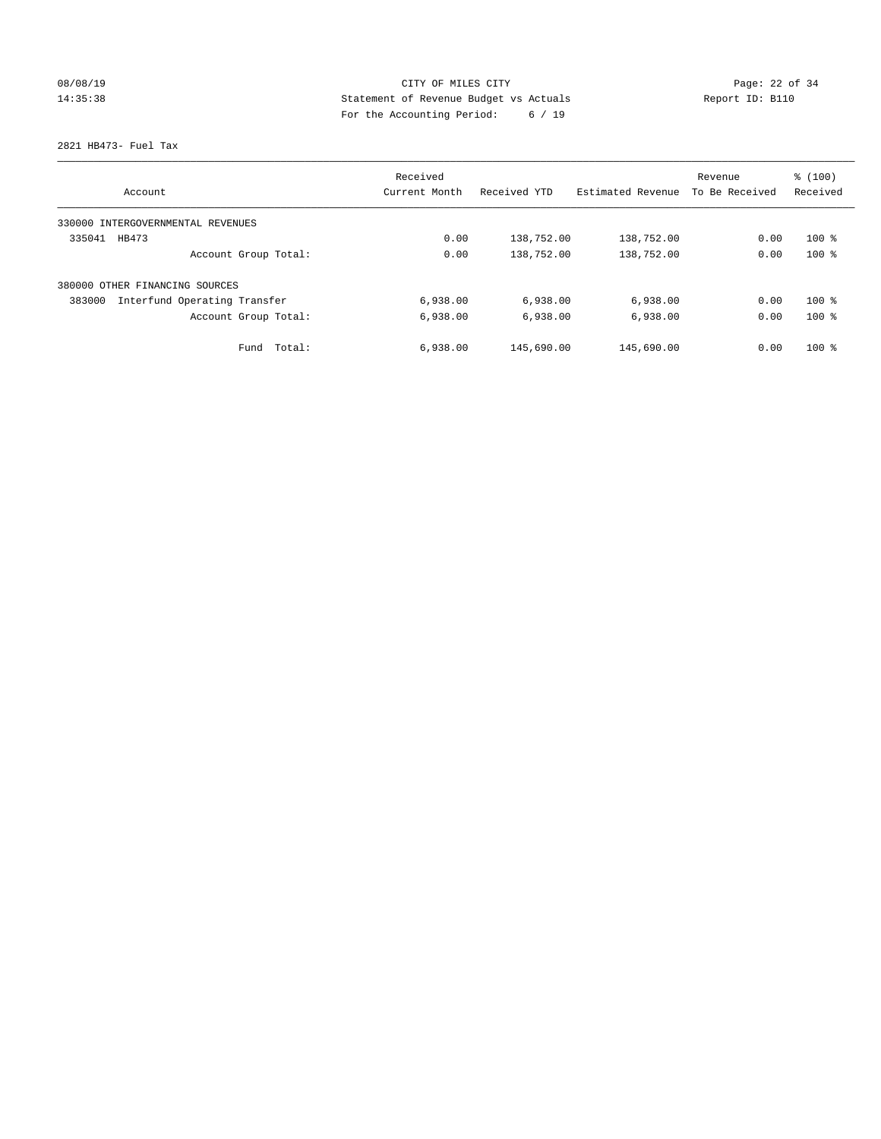# 08/08/19 Page: 22 of 34 14:35:38 Statement of Revenue Budget vs Actuals Report ID: B110 For the Accounting Period: 6 / 19

2821 HB473- Fuel Tax

|                                        | Received      |              |                   | Revenue        | % (100)  |
|----------------------------------------|---------------|--------------|-------------------|----------------|----------|
| Account                                | Current Month | Received YTD | Estimated Revenue | To Be Received | Received |
| 330000 INTERGOVERNMENTAL REVENUES      |               |              |                   |                |          |
| 335041<br>HB473                        | 0.00          | 138,752.00   | 138,752.00        | 0.00           | $100*$   |
| Account Group Total:                   | 0.00          | 138,752.00   | 138,752.00        | 0.00           | $100*$   |
| 380000 OTHER FINANCING SOURCES         |               |              |                   |                |          |
| Interfund Operating Transfer<br>383000 | 6,938.00      | 6,938.00     | 6,938.00          | 0.00           | $100*$   |
| Account Group Total:                   | 6,938.00      | 6,938.00     | 6,938.00          | 0.00           | $100*$   |
| Total:<br>Fund                         | 6,938.00      | 145,690.00   | 145,690.00        | 0.00           | $100*$   |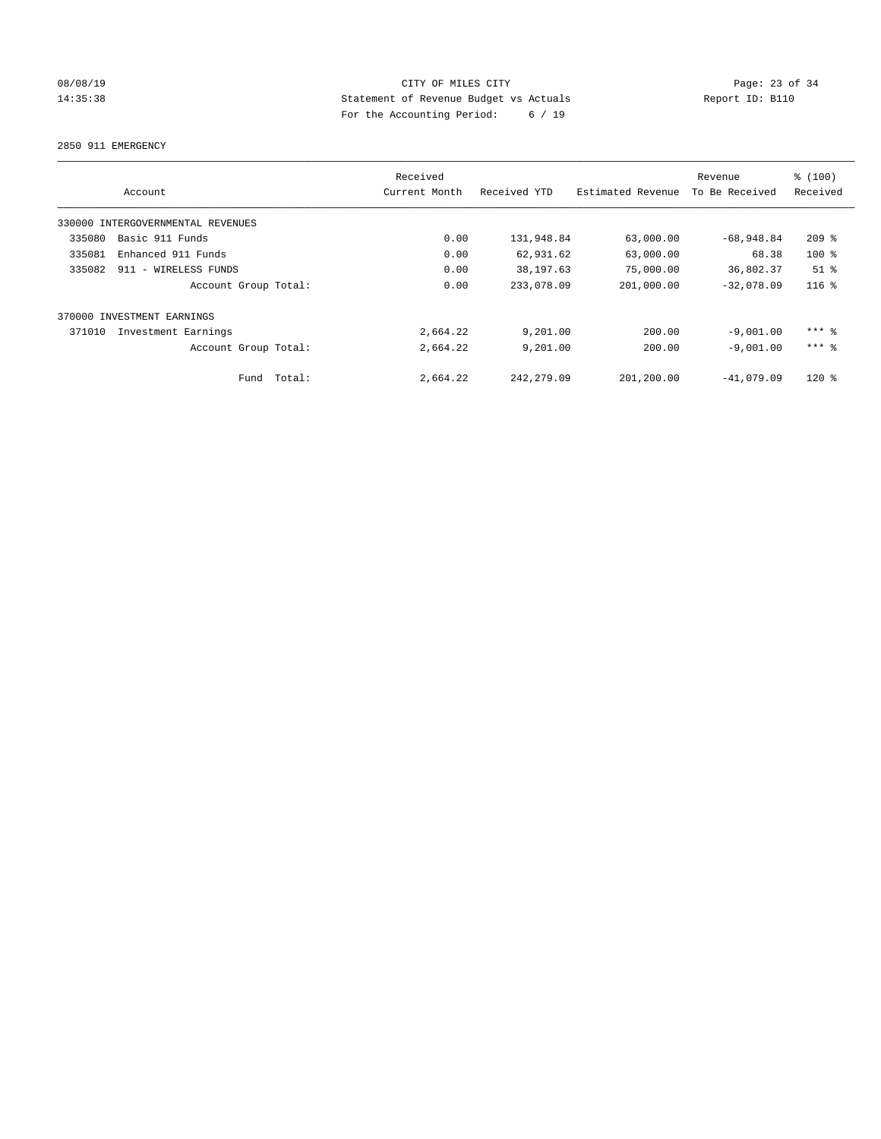# 08/08/19 Page: 23 of 34 14:35:38 Statement of Revenue Budget vs Actuals Report ID: B110 For the Accounting Period: 6 / 19

2850 911 EMERGENCY

|        | Account                           |        | Received<br>Current Month | Received YTD | Estimated Revenue | Revenue<br>To Be Received | % (100)<br>Received |
|--------|-----------------------------------|--------|---------------------------|--------------|-------------------|---------------------------|---------------------|
|        | 330000 INTERGOVERNMENTAL REVENUES |        |                           |              |                   |                           |                     |
| 335080 | Basic 911 Funds                   |        | 0.00                      | 131,948.84   | 63,000.00         | $-68,948.84$              | $209$ $%$           |
| 335081 | Enhanced 911 Funds                |        | 0.00                      | 62,931.62    | 63,000.00         | 68.38                     | $100*$              |
| 335082 | 911 - WIRELESS FUNDS              |        | 0.00                      | 38, 197.63   | 75,000.00         | 36,802.37                 | $51$ %              |
|        | Account Group Total:              |        | 0.00                      | 233,078.09   | 201,000.00        | $-32.078.09$              | $116$ %             |
|        | 370000 INVESTMENT EARNINGS        |        |                           |              |                   |                           |                     |
| 371010 | Investment Earnings               |        | 2,664.22                  | 9,201.00     | 200.00            | $-9.001.00$               | $***$ $%$           |
|        | Account Group Total:              |        | 2,664.22                  | 9,201.00     | 200.00            | $-9.001.00$               | $***$ 2             |
|        | Fund                              | Total: | 2,664.22                  | 242, 279.09  | 201,200.00        | $-41,079.09$              | $120$ $%$           |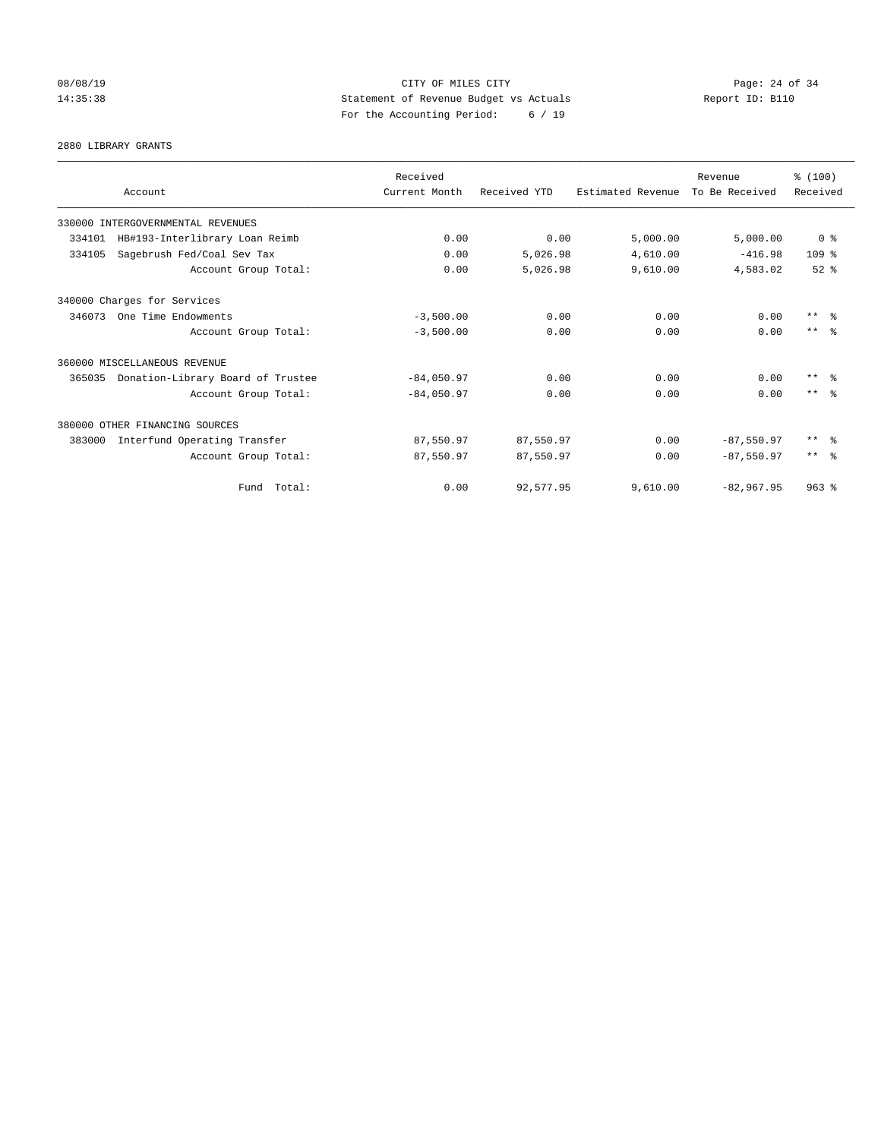# 08/08/19 Page: 24 of 34 14:35:38 Statement of Revenue Budget vs Actuals Report ID: B110 For the Accounting Period: 6 / 19

2880 LIBRARY GRANTS

| Account                                     | Received<br>Current Month | Received YTD | Estimated Revenue | Revenue<br>To Be Received | % (100)<br>Received     |
|---------------------------------------------|---------------------------|--------------|-------------------|---------------------------|-------------------------|
| 330000 INTERGOVERNMENTAL REVENUES           |                           |              |                   |                           |                         |
| HB#193-Interlibrary Loan Reimb<br>334101    | 0.00                      | 0.00         | 5,000.00          | 5,000.00                  | 0 <sup>8</sup>          |
| Sagebrush Fed/Coal Sev Tax<br>334105        | 0.00                      | 5,026.98     | 4,610.00          | $-416.98$                 | 109 <sub>8</sub>        |
| Account Group Total:                        | 0.00                      | 5,026.98     | 9,610.00          | 4,583.02                  | $52$ $%$                |
| 340000 Charges for Services                 |                           |              |                   |                           |                         |
| 346073<br>One Time Endowments               | $-3,500.00$               | 0.00         | 0.00              | 0.00                      | $***$ $\frac{6}{5}$     |
| Account Group Total:                        | $-3,500.00$               | 0.00         | 0.00              | 0.00                      | $***$ $=$ $\frac{6}{5}$ |
| 360000 MISCELLANEOUS REVENUE                |                           |              |                   |                           |                         |
| Donation-Library Board of Trustee<br>365035 | $-84,050.97$              | 0.00         | 0.00              | 0.00                      | $***$ $=$               |
| Account Group Total:                        | $-84,050.97$              | 0.00         | 0.00              | 0.00                      | $***$ $\approx$         |
| 380000 OTHER FINANCING SOURCES              |                           |              |                   |                           |                         |
| 383000<br>Interfund Operating Transfer      | 87,550.97                 | 87,550.97    | 0.00              | $-87,550.97$              | $***$ $=$               |
| Account Group Total:                        | 87,550.97                 | 87,550.97    | 0.00              | $-87.550.97$              | $***$ $\approx$         |
| Fund Total:                                 | 0.00                      | 92,577.95    | 9,610.00          | $-82,967.95$              | $963$ $%$               |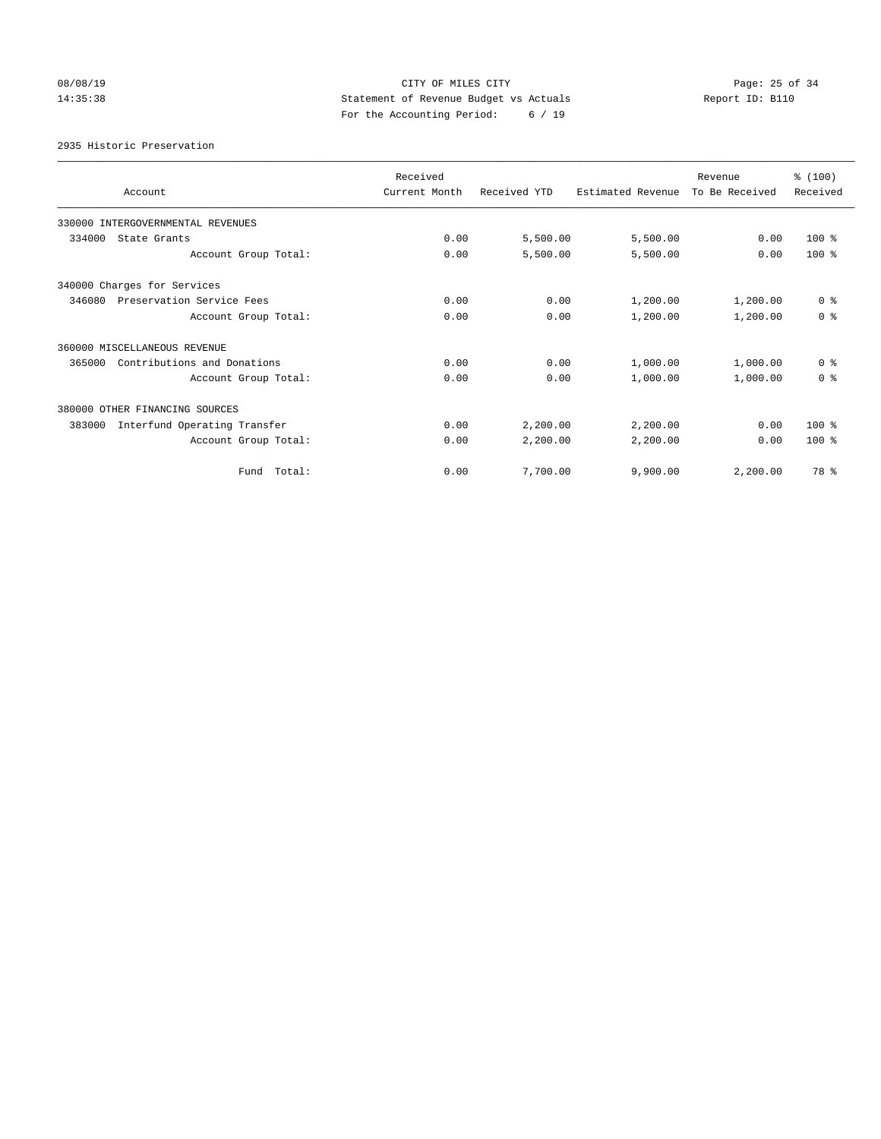# 08/08/19 Page: 25 of 34 14:35:38 Statement of Revenue Budget vs Actuals Report ID: B110 For the Accounting Period: 6 / 19

2935 Historic Preservation

| Account                                | Received<br>Current Month | Received YTD | Estimated Revenue | Revenue<br>To Be Received | % (100)<br>Received |
|----------------------------------------|---------------------------|--------------|-------------------|---------------------------|---------------------|
| 330000 INTERGOVERNMENTAL REVENUES      |                           |              |                   |                           |                     |
| 334000<br>State Grants                 | 0.00                      | 5,500.00     | 5,500.00          | 0.00                      | $100*$              |
| Account Group Total:                   | 0.00                      | 5,500.00     | 5,500.00          | 0.00                      | $100*$              |
| 340000 Charges for Services            |                           |              |                   |                           |                     |
| 346080<br>Preservation Service Fees    | 0.00                      | 0.00         | 1,200.00          | 1,200.00                  | 0 <sup>8</sup>      |
| Account Group Total:                   | 0.00                      | 0.00         | 1,200.00          | 1,200.00                  | 0 <sup>8</sup>      |
| 360000 MISCELLANEOUS REVENUE           |                           |              |                   |                           |                     |
| Contributions and Donations<br>365000  | 0.00                      | 0.00         | 1,000.00          | 1,000.00                  | 0 <sup>8</sup>      |
| Account Group Total:                   | 0.00                      | 0.00         | 1,000.00          | 1,000.00                  | 0 <sup>8</sup>      |
| 380000 OTHER FINANCING SOURCES         |                           |              |                   |                           |                     |
| Interfund Operating Transfer<br>383000 | 0.00                      | 2,200.00     | 2,200.00          | 0.00                      | $100*$              |
| Account Group Total:                   | 0.00                      | 2,200.00     | 2,200.00          | 0.00                      | $100*$              |
| Fund Total:                            | 0.00                      | 7,700.00     | 9,900.00          | 2,200.00                  | 78 %                |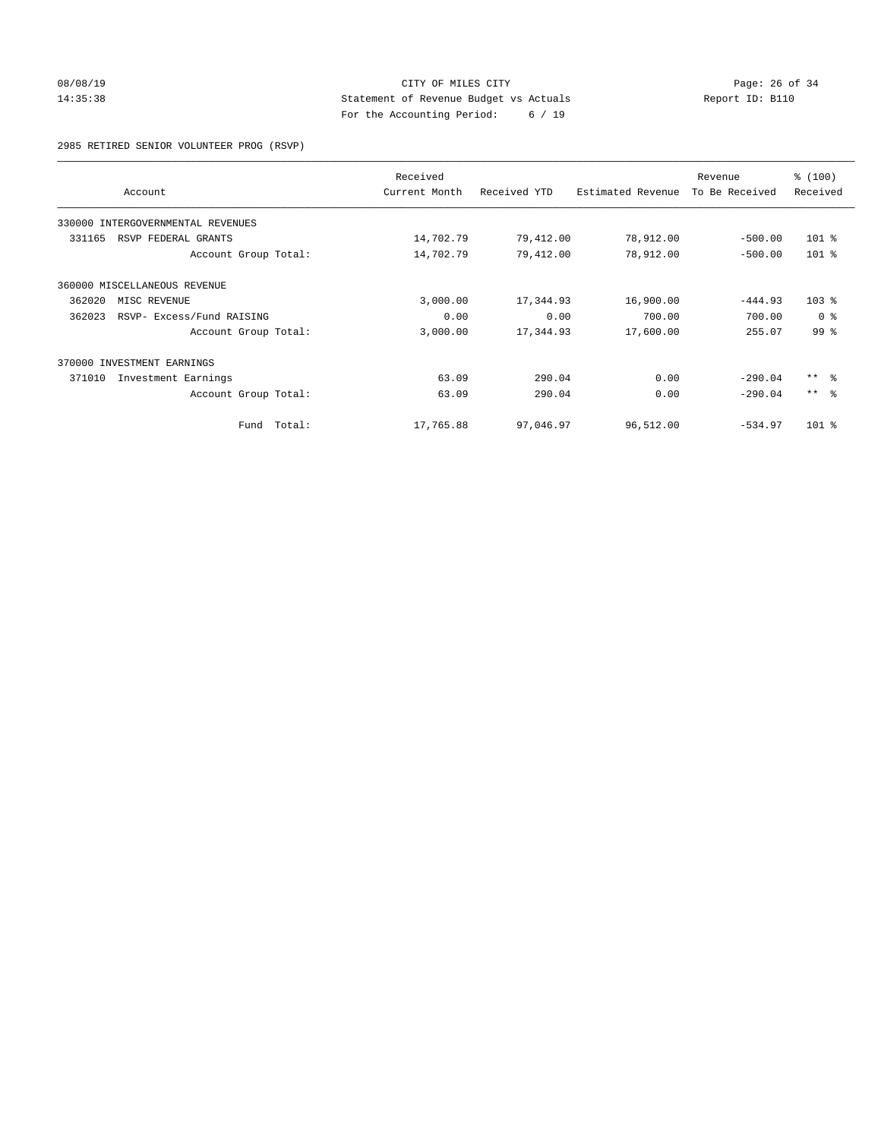# 08/08/19 Page: 26 of 34 14:35:38 Statement of Revenue Budget vs Actuals Report ID: B110 For the Accounting Period: 6 / 19

2985 RETIRED SENIOR VOLUNTEER PROG (RSVP)

|        | Account                           |             | Received<br>Current Month | Received YTD | Estimated Revenue | Revenue<br>To Be Received | \$(100)<br>Received |
|--------|-----------------------------------|-------------|---------------------------|--------------|-------------------|---------------------------|---------------------|
|        | 330000 INTERGOVERNMENTAL REVENUES |             |                           |              |                   |                           |                     |
| 331165 | RSVP FEDERAL GRANTS               |             | 14,702.79                 | 79,412.00    | 78,912.00         | $-500.00$                 | $101$ %             |
|        | Account Group Total:              |             | 14,702.79                 | 79,412.00    | 78,912.00         | $-500.00$                 | $101$ %             |
|        | 360000 MISCELLANEOUS REVENUE      |             |                           |              |                   |                           |                     |
| 362020 | MISC REVENUE                      |             | 3,000.00                  | 17,344.93    | 16,900.00         | $-444.93$                 | $103$ %             |
| 362023 | RSVP- Excess/Fund RAISING         |             | 0.00                      | 0.00         | 700.00            | 700.00                    | 0 <sup>8</sup>      |
|        | Account Group Total:              |             | 3,000.00                  | 17,344.93    | 17,600.00         | 255.07                    | 99 <sup>°</sup>     |
|        | 370000 INVESTMENT EARNINGS        |             |                           |              |                   |                           |                     |
| 371010 | Investment Earnings               |             | 63.09                     | 290.04       | 0.00              | $-290.04$                 | $***$ $ -$          |
|        | Account Group Total:              |             | 63.09                     | 290.04       | 0.00              | $-290.04$                 | $***$ $ -$          |
|        |                                   | Fund Total: | 17,765.88                 | 97,046.97    | 96,512.00         | $-534.97$                 | $101$ %             |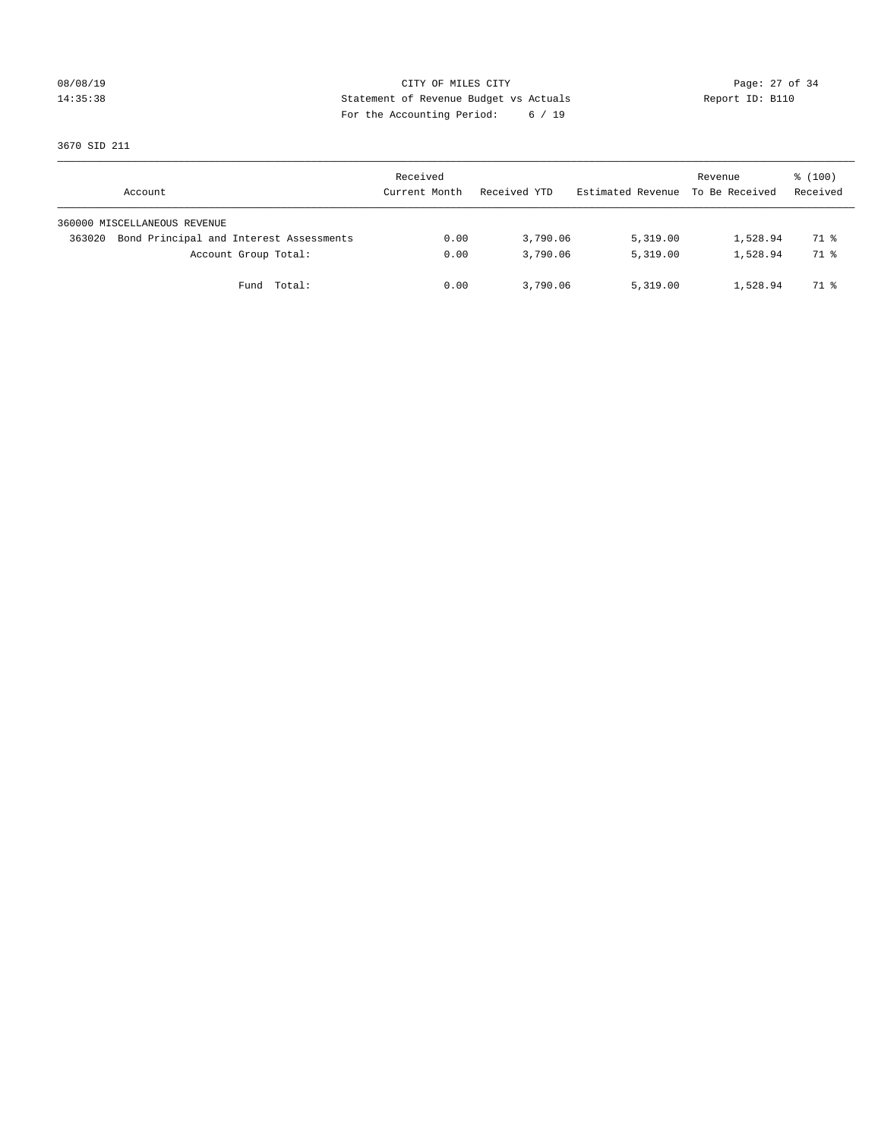# 08/08/19 Page: 27 of 34 14:35:38 Statement of Revenue Budget vs Actuals Report ID: B110 For the Accounting Period: 6 / 19

3670 SID 211

| Account                                           | Received<br>Current Month | Received YTD | Estimated Revenue | Revenue<br>To Be Received | $\frac{100}{3}$<br>Received |
|---------------------------------------------------|---------------------------|--------------|-------------------|---------------------------|-----------------------------|
| 360000 MISCELLANEOUS REVENUE                      |                           |              |                   |                           |                             |
| Bond Principal and Interest Assessments<br>363020 | 0.00                      | 3,790.06     | 5,319.00          | 1,528.94                  | 71 %                        |
| Account Group Total:                              | 0.00                      | 3,790.06     | 5,319.00          | 1,528.94                  | 71 %                        |
| Total:<br>Fund                                    | 0.00                      | 3,790.06     | 5,319.00          | 1,528.94                  | 71 %                        |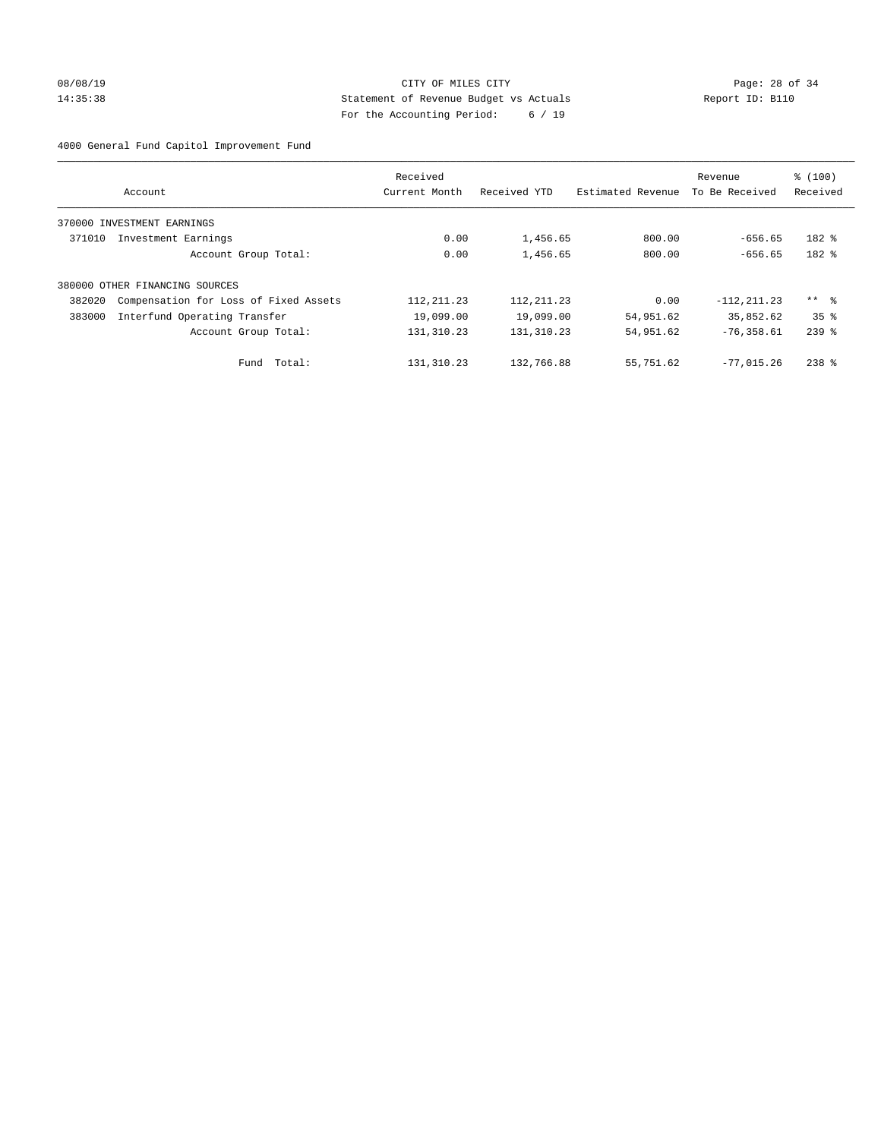# 08/08/19 Page: 28 of 34 14:35:38 Statement of Revenue Budget vs Actuals Report ID: B110 For the Accounting Period: 6 / 19

4000 General Fund Capitol Improvement Fund

|        | Account                               | Received<br>Current Month | Received YTD | Estimated Revenue | Revenue<br>To Be Received | \$(100)<br>Received |
|--------|---------------------------------------|---------------------------|--------------|-------------------|---------------------------|---------------------|
|        |                                       |                           |              |                   |                           |                     |
|        | 370000 INVESTMENT EARNINGS            |                           |              |                   |                           |                     |
| 371010 | Investment Earnings                   | 0.00                      | 1,456.65     | 800.00            | $-656.65$                 | 182 %               |
|        | Account Group Total:                  | 0.00                      | 1,456.65     | 800.00            | $-656.65$                 | 182 %               |
|        | 380000 OTHER FINANCING SOURCES        |                           |              |                   |                           |                     |
| 382020 | Compensation for Loss of Fixed Assets | 112, 211.23               | 112, 211.23  | 0.00              | $-112, 211.23$            | ** %                |
| 383000 | Interfund Operating Transfer          | 19,099.00                 | 19,099.00    | 54,951.62         | 35,852.62                 | 35 <sup>8</sup>     |
|        | Account Group Total:                  | 131, 310.23               | 131,310.23   | 54,951.62         | $-76, 358.61$             | $239$ $%$           |
|        | Fund Total:                           | 131,310.23                | 132,766.88   | 55,751.62         | $-77.015.26$              | $238$ $%$           |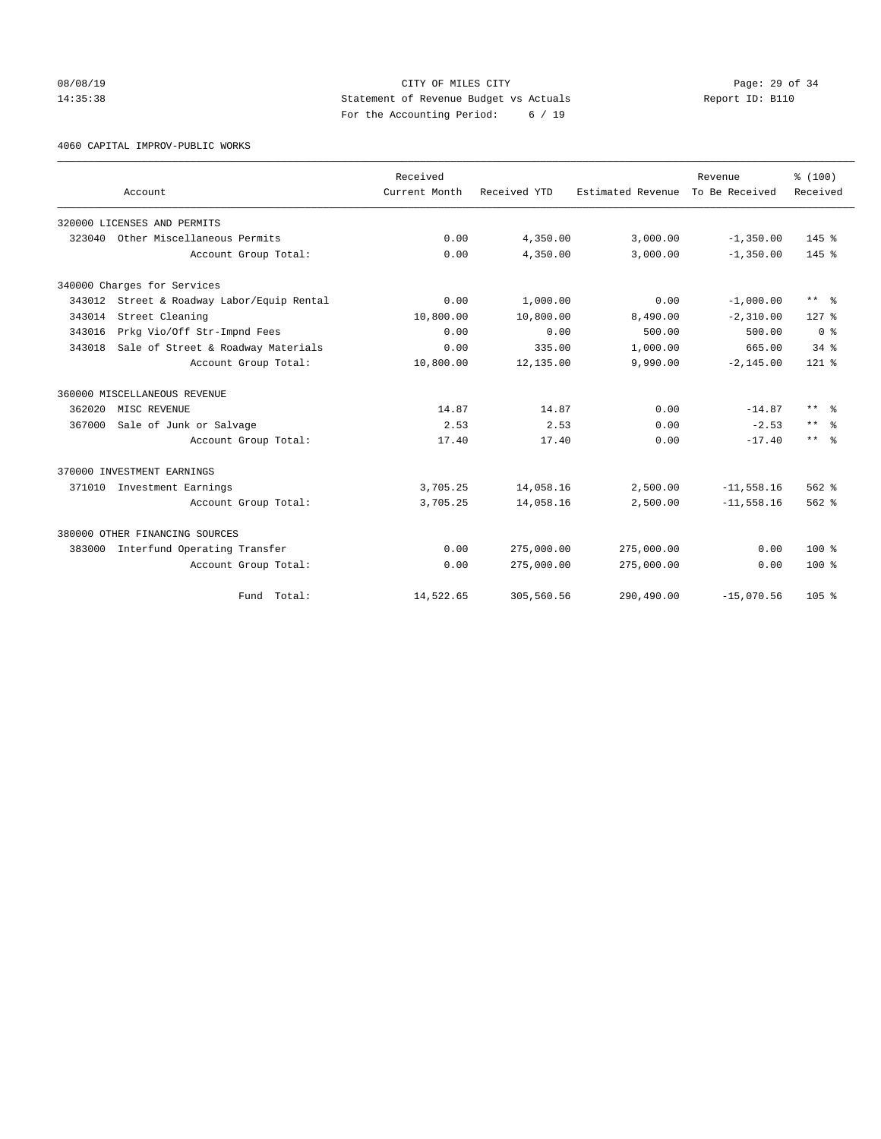08/08/19 Page: 29 of 34 14:35:38 Statement of Revenue Budget vs Actuals Report ID: B110 For the Accounting Period: 6 / 19

4060 CAPITAL IMPROV-PUBLIC WORKS

|        |                                     | Received      |              |                                  | Revenue      | % (100)                 |
|--------|-------------------------------------|---------------|--------------|----------------------------------|--------------|-------------------------|
|        | Account                             | Current Month | Received YTD | Estimated Revenue To Be Received |              | Received                |
|        | 320000 LICENSES AND PERMITS         |               |              |                                  |              |                         |
| 323040 | Other Miscellaneous Permits         | 0.00          | 4,350.00     | 3,000.00                         | $-1, 350.00$ | $145$ $%$               |
|        | Account Group Total:                | 0.00          | 4,350.00     | 3,000.00                         | $-1, 350.00$ | 145 %                   |
|        | 340000 Charges for Services         |               |              |                                  |              |                         |
| 343012 | Street & Roadway Labor/Equip Rental | 0.00          | 1,000.00     | 0.00                             | $-1,000.00$  | ** %                    |
| 343014 | Street Cleaning                     | 10,800.00     | 10,800.00    | 8,490.00                         | $-2,310.00$  | $127$ $%$               |
| 343016 | Prkg Vio/Off Str-Impnd Fees         | 0.00          | 0.00         | 500.00                           | 500.00       | 0 <sup>8</sup>          |
| 343018 | Sale of Street & Roadway Materials  | 0.00          | 335.00       | 1,000.00                         | 665.00       | $34$ $%$                |
|        | Account Group Total:                | 10,800.00     | 12,135.00    | 9,990.00                         | $-2, 145.00$ | $121$ %                 |
|        | 360000 MISCELLANEOUS REVENUE        |               |              |                                  |              |                         |
| 362020 | MISC REVENUE                        | 14.87         | 14.87        | 0.00                             | $-14.87$     | $\star\star$<br>- 옹     |
| 367000 | Sale of Junk or Salvage             | 2.53          | 2.53         | 0.00                             | $-2.53$      | $***$<br>- 옹            |
|        | Account Group Total:                | 17.40         | 17.40        | 0.00                             | $-17.40$     | $***$ $=$ $\frac{6}{5}$ |
|        | 370000 INVESTMENT EARNINGS          |               |              |                                  |              |                         |
|        | 371010 Investment Earnings          | 3,705.25      | 14,058.16    | 2,500.00                         | $-11,558.16$ | $562$ $%$               |
|        | Account Group Total:                | 3,705.25      | 14,058.16    | 2,500.00                         | $-11,558.16$ | $562$ $%$               |
|        | 380000 OTHER FINANCING SOURCES      |               |              |                                  |              |                         |
| 383000 | Interfund Operating Transfer        | 0.00          | 275,000.00   | 275,000.00                       | 0.00         | $100*$                  |
|        | Account Group Total:                | 0.00          | 275,000.00   | 275,000.00                       | 0.00         | $100*$                  |
|        | Fund Total:                         | 14,522.65     | 305,560.56   | 290,490.00                       | $-15,070.56$ | 105 <sub>8</sub>        |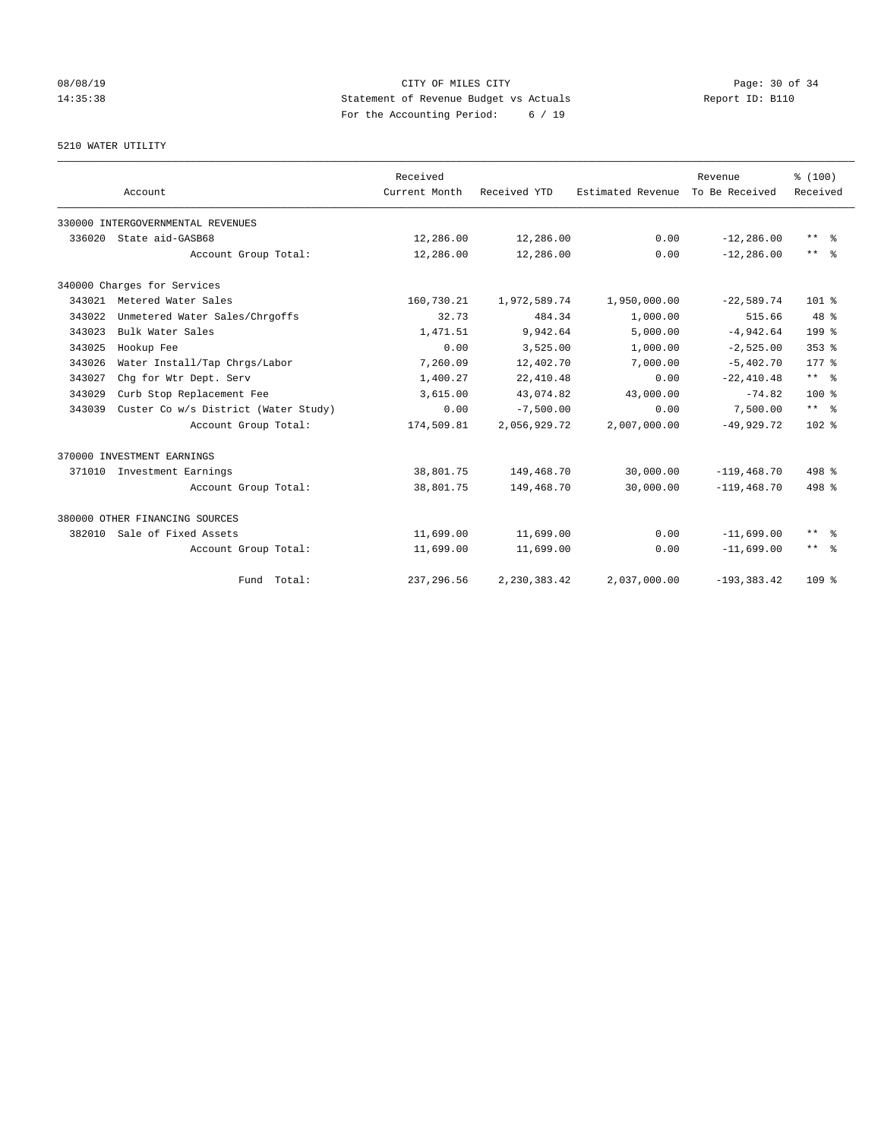# 08/08/19 Page: 30 of 34 14:35:38 Statement of Revenue Budget vs Actuals Report ID: B110 For the Accounting Period: 6 / 19

# 5210 WATER UTILITY

|        | Account                              | Received<br>Current Month | Received YTD | Estimated Revenue | Revenue<br>To Be Received | % (100)<br>Received     |
|--------|--------------------------------------|---------------------------|--------------|-------------------|---------------------------|-------------------------|
|        | 330000 INTERGOVERNMENTAL REVENUES    |                           |              |                   |                           |                         |
| 336020 | State aid-GASB68                     | 12,286.00                 | 12,286.00    | 0.00              | $-12, 286.00$             | ** %                    |
|        | Account Group Total:                 | 12,286.00                 | 12,286.00    | 0.00              | $-12, 286, 00$            | $***$ $=$ $\frac{6}{5}$ |
|        | 340000 Charges for Services          |                           |              |                   |                           |                         |
| 343021 | Metered Water Sales                  | 160,730.21                | 1,972,589.74 | 1,950,000.00      | $-22,589.74$              | $101$ %                 |
| 343022 | Unmetered Water Sales/Chrgoffs       | 32.73                     | 484.34       | 1,000.00          | 515.66                    | $48*$                   |
| 343023 | Bulk Water Sales                     | 1,471.51                  | 9,942.64     | 5,000.00          | $-4,942.64$               | 199 %                   |
| 343025 | Hookup Fee                           | 0.00                      | 3,525.00     | 1,000.00          | $-2,525.00$               | $353$ $%$               |
| 343026 | Water Install/Tap Chrgs/Labor        | 7,260.09                  | 12,402.70    | 7,000.00          | $-5,402.70$               | $177*$                  |
| 343027 | Chg for Wtr Dept. Serv               | 1,400.27                  | 22, 410.48   | 0.00              | $-22,410.48$              | $***$ $-$               |
| 343029 | Curb Stop Replacement Fee            | 3,615.00                  | 43,074.82    | 43,000.00         | $-74.82$                  | $100*$                  |
| 343039 | Custer Co w/s District (Water Study) | 0.00                      | $-7,500.00$  | 0.00              | 7,500.00                  | $***$ $%$               |
|        | Account Group Total:                 | 174,509.81                | 2,056,929.72 | 2,007,000.00      | $-49.929.72$              | $102*$                  |
|        | 370000 INVESTMENT EARNINGS           |                           |              |                   |                           |                         |
|        | 371010 Investment Earnings           | 38,801.75                 | 149,468.70   | 30,000.00         | $-119, 468.70$            | 498 %                   |
|        | Account Group Total:                 | 38,801.75                 | 149,468.70   | 30,000.00         | $-119, 468.70$            | 498 %                   |
|        | 380000 OTHER FINANCING SOURCES       |                           |              |                   |                           |                         |
| 382010 | Sale of Fixed Assets                 | 11,699.00                 | 11,699.00    | 0.00              | $-11,699.00$              | $***$ $=$ $\frac{6}{5}$ |
|        | Account Group Total:                 | 11,699.00                 | 11,699.00    | 0.00              | $-11,699.00$              | $***$ $ -$              |
|        | Fund Total:                          | 237, 296.56               | 2,230,383.42 | 2,037,000.00      | $-193, 383.42$            | 109 <sub>8</sub>        |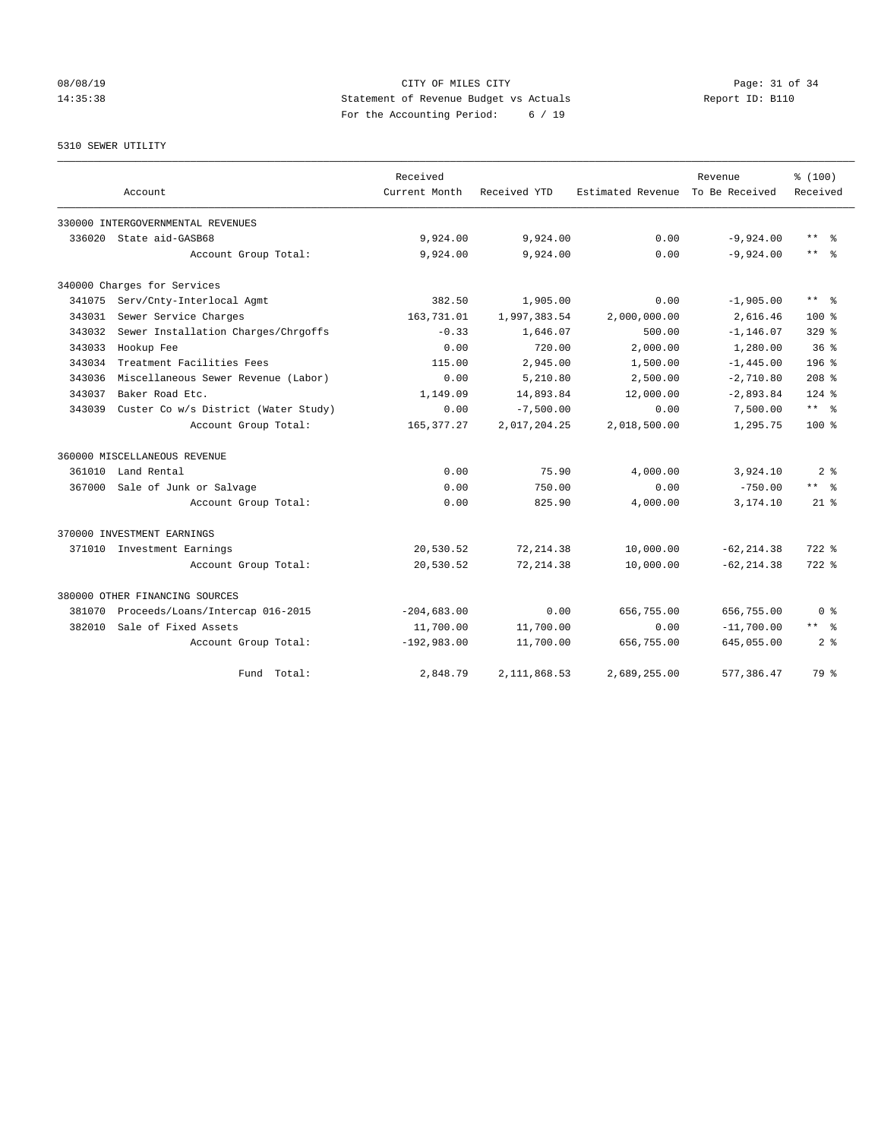# 08/08/19 Page: 31 of 34 14:35:38 Statement of Revenue Budget vs Actuals Report ID: B110 For the Accounting Period: 6 / 19

5310 SEWER UTILITY

|        |                                      | Received      |              |                   | Revenue        | % (100)                 |
|--------|--------------------------------------|---------------|--------------|-------------------|----------------|-------------------------|
|        | Account                              | Current Month | Received YTD | Estimated Revenue | To Be Received | Received                |
|        | 330000 INTERGOVERNMENTAL REVENUES    |               |              |                   |                |                         |
| 336020 | State aid-GASB68                     | 9,924.00      | 9,924.00     | 0.00              | $-9,924.00$    | $\star\star$<br>- 옹     |
|        | Account Group Total:                 | 9,924.00      | 9,924.00     | 0.00              | $-9,924.00$    | $***$<br>ႜ              |
|        | 340000 Charges for Services          |               |              |                   |                |                         |
| 341075 | Serv/Cnty-Interlocal Agmt            | 382.50        | 1,905.00     | 0.00              | $-1,905.00$    | $***$ $=$ $\frac{6}{5}$ |
| 343031 | Sewer Service Charges                | 163,731.01    | 1,997,383.54 | 2,000,000.00      | 2,616.46       | $100*$                  |
| 343032 | Sewer Installation Charges/Chrgoffs  | $-0.33$       | 1,646.07     | 500.00            | $-1, 146.07$   | $329$ $%$               |
| 343033 | Hookup Fee                           | 0.00          | 720.00       | 2.000.00          | 1,280.00       | 36 <sup>8</sup>         |
| 343034 | Treatment Facilities Fees            | 115.00        | 2,945.00     | 1,500.00          | $-1, 445.00$   | 196 %                   |
| 343036 | Miscellaneous Sewer Revenue (Labor)  | 0.00          | 5,210.80     | 2,500.00          | $-2,710.80$    | 208 <sup>8</sup>        |
| 343037 | Baker Road Etc.                      | 1,149.09      | 14,893.84    | 12,000.00         | $-2,893.84$    | $124$ %                 |
| 343039 | Custer Co w/s District (Water Study) | 0.00          | $-7,500.00$  | 0.00              | 7,500.00       | $***$ $%$               |
|        | Account Group Total:                 | 165, 377.27   | 2,017,204.25 | 2,018,500.00      | 1,295.75       | 100 %                   |
|        | 360000 MISCELLANEOUS REVENUE         |               |              |                   |                |                         |
| 361010 | Land Rental                          | 0.00          | 75.90        | 4,000.00          | 3,924.10       | 2 <sub>8</sub>          |
| 367000 | Sale of Junk or Salvage              | 0.00          | 750.00       | 0.00              | $-750.00$      | $***$ $-$               |
|        | Account Group Total:                 | 0.00          | 825.90       | 4,000.00          | 3,174.10       | $21*$                   |
|        | 370000 INVESTMENT EARNINGS           |               |              |                   |                |                         |
| 371010 | Investment Earnings                  | 20,530.52     | 72, 214.38   | 10,000.00         | $-62, 214.38$  | $722$ $%$               |
|        | Account Group Total:                 | 20,530.52     | 72, 214.38   | 10,000.00         | $-62, 214, 38$ | $722$ $%$               |
|        | 380000 OTHER FINANCING SOURCES       |               |              |                   |                |                         |
| 381070 | Proceeds/Loans/Intercap 016-2015     | $-204,683.00$ | 0.00         | 656,755.00        | 656,755.00     | 0 <sup>8</sup>          |
| 382010 | Sale of Fixed Assets                 | 11,700.00     | 11,700.00    | 0.00              | $-11,700.00$   | ** *                    |
|        | Account Group Total:                 | $-192,983.00$ | 11,700.00    | 656,755.00        | 645,055.00     | 2 <sup>8</sup>          |
|        | Fund Total:                          | 2,848.79      | 2,111,868.53 | 2,689,255.00      | 577,386.47     | 79 %                    |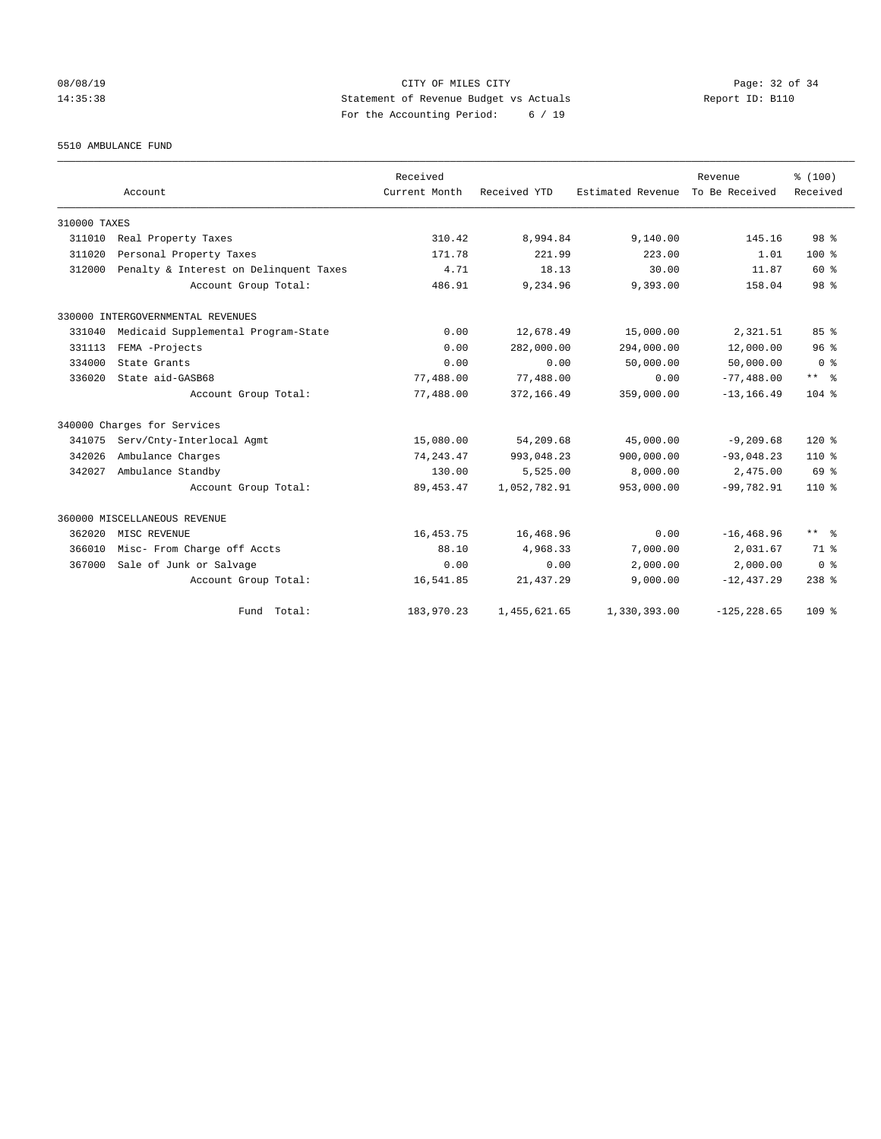# 08/08/19 Page: 32 of 34 14:35:38 Statement of Revenue Budget vs Actuals Report ID: B110 For the Accounting Period: 6 / 19

5510 AMBULANCE FUND

|              |                                        | Received      |              |                   | Revenue        | % (100)          |
|--------------|----------------------------------------|---------------|--------------|-------------------|----------------|------------------|
|              | Account                                | Current Month | Received YTD | Estimated Revenue | To Be Received | Received         |
| 310000 TAXES |                                        |               |              |                   |                |                  |
| 311010       | Real Property Taxes                    | 310.42        | 8,994.84     | 9,140.00          | 145.16         | 98 <sup>8</sup>  |
| 311020       | Personal Property Taxes                | 171.78        | 221.99       | 223.00            | 1.01           | 100 <sub>8</sub> |
| 312000       | Penalty & Interest on Delinquent Taxes | 4.71          | 18.13        | 30.00             | 11.87          | 60 %             |
|              | Account Group Total:                   | 486.91        | 9,234.96     | 9,393.00          | 158.04         | 98 <sup>8</sup>  |
|              | 330000 INTERGOVERNMENTAL REVENUES      |               |              |                   |                |                  |
| 331040       | Medicaid Supplemental Program-State    | 0.00          | 12,678.49    | 15,000.00         | 2,321.51       | 85%              |
| 331113       | FEMA -Projects                         | 0.00          | 282,000.00   | 294,000.00        | 12,000.00      | 96 <sup>8</sup>  |
| 334000       | State Grants                           | 0.00          | 0.00         | 50,000.00         | 50,000.00      | 0 <sup>8</sup>   |
| 336020       | State aid-GASB68                       | 77,488.00     | 77,488.00    | 0.00              | $-77,488.00$   | $***$ $%$        |
|              | Account Group Total:                   | 77,488.00     | 372,166.49   | 359,000.00        | $-13, 166.49$  | $104$ %          |
|              | 340000 Charges for Services            |               |              |                   |                |                  |
| 341075       | Serv/Cnty-Interlocal Agmt              | 15,080.00     | 54,209.68    | 45,000.00         | $-9, 209.68$   | $120*$           |
| 342026       | Ambulance Charges                      | 74, 243.47    | 993,048.23   | 900,000.00        | $-93,048.23$   | $110*$           |
| 342027       | Ambulance Standby                      | 130.00        | 5,525.00     | 8,000.00          | 2,475.00       | 69 %             |
|              | Account Group Total:                   | 89, 453. 47   | 1,052,782.91 | 953,000.00        | $-99.782.91$   | $110*$           |
|              | 360000 MISCELLANEOUS REVENUE           |               |              |                   |                |                  |
| 362020       | MISC REVENUE                           | 16, 453. 75   | 16,468.96    | 0.00              | $-16, 468.96$  | ** *             |
| 366010       | Misc- From Charge off Accts            | 88.10         | 4,968.33     | 7,000.00          | 2,031.67       | 71.8             |
| 367000       | Sale of Junk or Salvage                | 0.00          | 0.00         | 2,000.00          | 2,000.00       | 0 <sup>8</sup>   |
|              | Account Group Total:                   | 16,541.85     | 21, 437.29   | 9,000.00          | $-12, 437.29$  | $238$ %          |
|              | Fund Total:                            | 183,970.23    | 1,455,621.65 | 1,330,393.00      | $-125, 228.65$ | 109 %            |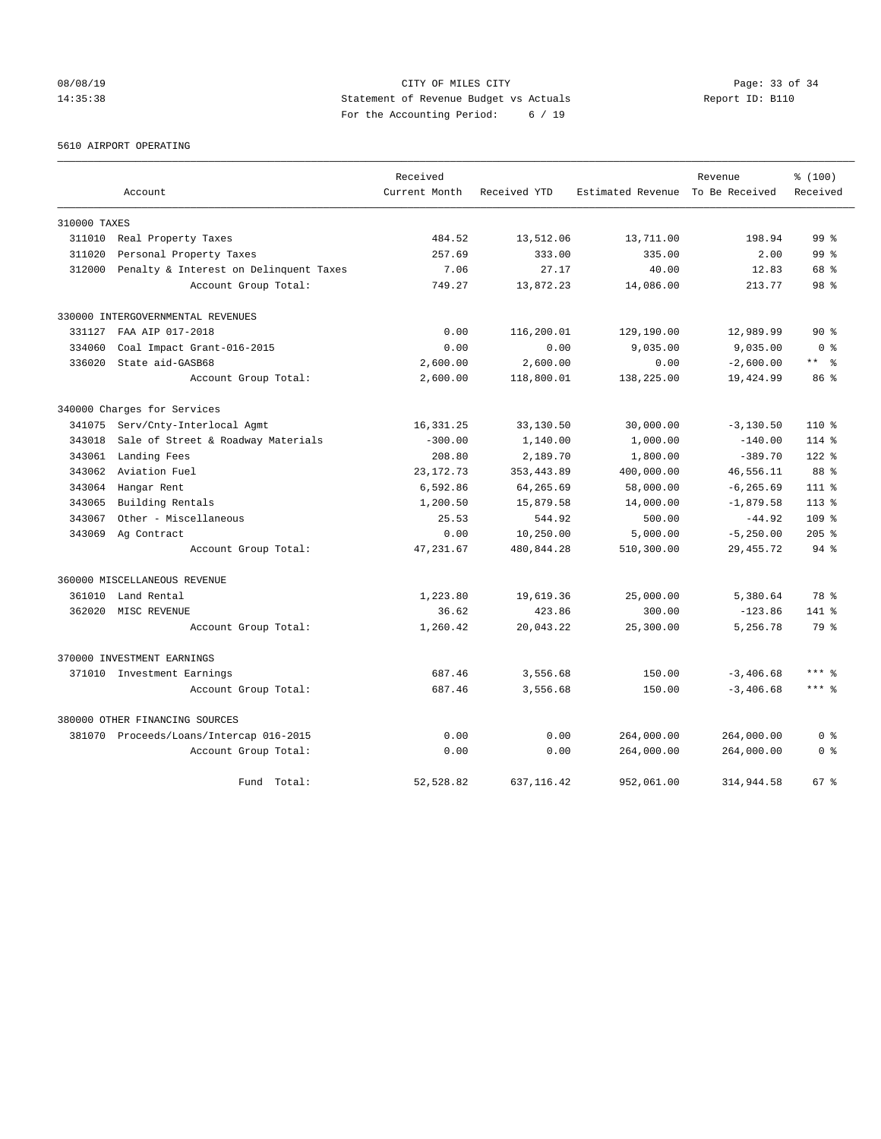# 08/08/19 Page: 33 of 34 14:35:38 Statement of Revenue Budget vs Actuals Report ID: B110 For the Accounting Period: 6 / 19

5610 AIRPORT OPERATING

|              |                                         | Received      |              |                                  | Revenue      | % (100)          |
|--------------|-----------------------------------------|---------------|--------------|----------------------------------|--------------|------------------|
|              | Account                                 | Current Month | Received YTD | Estimated Revenue To Be Received |              | Received         |
| 310000 TAXES |                                         |               |              |                                  |              |                  |
| 311010       | Real Property Taxes                     | 484.52        | 13,512.06    | 13,711.00                        | 198.94       | 99 <sup>°</sup>  |
| 311020       | Personal Property Taxes                 | 257.69        | 333.00       | 335.00                           | 2.00         | 99 <sup>8</sup>  |
| 312000       | Penalty & Interest on Delinquent Taxes  | 7.06          | 27.17        | 40.00                            | 12.83        | 68 %             |
|              | Account Group Total:                    | 749.27        | 13,872.23    | 14,086.00                        | 213.77       | 98 <sup>8</sup>  |
|              | 330000 INTERGOVERNMENTAL REVENUES       |               |              |                                  |              |                  |
| 331127       | FAA AIP 017-2018                        | 0.00          | 116,200.01   | 129,190.00                       | 12,989.99    | $90*$            |
| 334060       | Coal Impact Grant-016-2015              | 0.00          | 0.00         | 9.035.00                         | 9,035.00     | 0 <sup>8</sup>   |
| 336020       | State aid-GASB68                        | 2,600.00      | 2,600.00     | 0.00                             | $-2,600.00$  | $***$ $ -$       |
|              | Account Group Total:                    | 2,600.00      | 118,800.01   | 138,225.00                       | 19,424.99    | 86 %             |
|              | 340000 Charges for Services             |               |              |                                  |              |                  |
| 341075       | Serv/Cnty-Interlocal Agmt               | 16,331.25     | 33,130.50    | 30,000.00                        | $-3,130.50$  | $110*$           |
| 343018       | Sale of Street & Roadway Materials      | $-300.00$     | 1,140.00     | 1,000.00                         | $-140.00$    | 114 %            |
| 343061       | Landing Fees                            | 208.80        | 2,189.70     | 1,800.00                         | $-389.70$    | 122 %            |
| 343062       | Aviation Fuel                           | 23, 172. 73   | 353, 443.89  | 400,000.00                       | 46,556.11    | 88 %             |
| 343064       | Hangar Rent                             | 6,592.86      | 64,265.69    | 58,000.00                        | $-6, 265.69$ | $111*$           |
| 343065       | Building Rentals                        | 1,200.50      | 15,879.58    | 14,000.00                        | $-1,879.58$  | $113$ %          |
| 343067       | Other - Miscellaneous                   | 25.53         | 544.92       | 500.00                           | $-44.92$     | 109 <sub>8</sub> |
| 343069       | Ag Contract                             | 0.00          | 10,250.00    | 5,000.00                         | $-5, 250.00$ | $205$ %          |
|              | Account Group Total:                    | 47, 231.67    | 480,844.28   | 510,300.00                       | 29, 455.72   | 94 %             |
|              | 360000 MISCELLANEOUS REVENUE            |               |              |                                  |              |                  |
| 361010       | Land Rental                             | 1,223.80      | 19,619.36    | 25,000.00                        | 5,380.64     | 78 %             |
| 362020       | MISC REVENUE                            | 36.62         | 423.86       | 300.00                           | $-123.86$    | 141 %            |
|              | Account Group Total:                    | 1,260.42      | 20,043.22    | 25,300.00                        | 5,256.78     | 79 %             |
|              | 370000 INVESTMENT EARNINGS              |               |              |                                  |              |                  |
|              | 371010 Investment Earnings              | 687.46        | 3,556.68     | 150.00                           | $-3,406.68$  | $***$ %          |
|              | Account Group Total:                    | 687.46        | 3,556.68     | 150.00                           | $-3,406.68$  | $***$ 2          |
|              | 380000 OTHER FINANCING SOURCES          |               |              |                                  |              |                  |
|              | 381070 Proceeds/Loans/Intercap 016-2015 | 0.00          | 0.00         | 264,000.00                       | 264,000.00   | 0 <sup>8</sup>   |
|              | Account Group Total:                    | 0.00          | 0.00         | 264,000.00                       | 264,000.00   | 0 <sup>8</sup>   |
|              | Fund Total:                             | 52,528.82     | 637, 116.42  | 952,061.00                       | 314,944.58   | 67 %             |